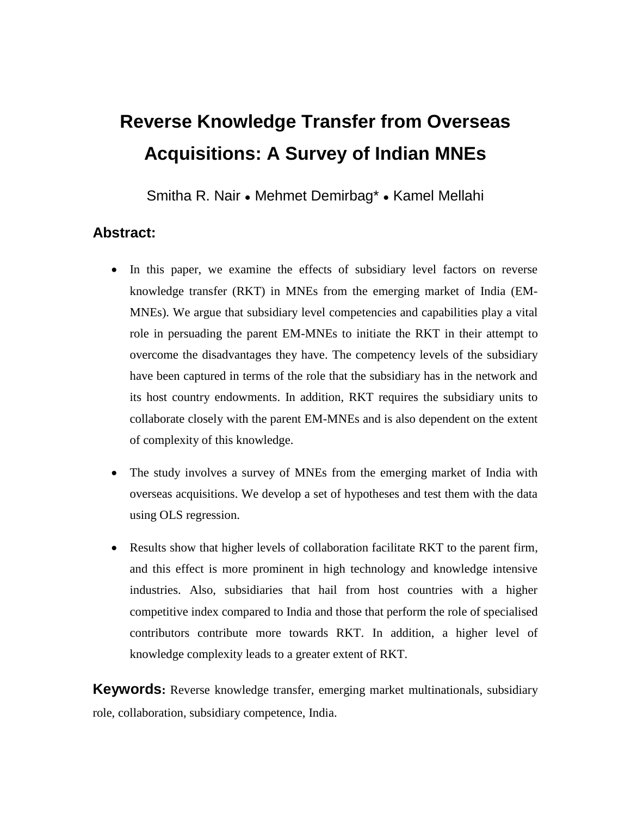# **Reverse Knowledge Transfer from Overseas Acquisitions: A Survey of Indian MNEs**

Smitha R. Nair ● Mehmet Demirbag\* ● Kamel Mellahi

## **Abstract:**

- In this paper, we examine the effects of subsidiary level factors on reverse knowledge transfer (RKT) in MNEs from the emerging market of India (EM-MNEs). We argue that subsidiary level competencies and capabilities play a vital role in persuading the parent EM-MNEs to initiate the RKT in their attempt to overcome the disadvantages they have. The competency levels of the subsidiary have been captured in terms of the role that the subsidiary has in the network and its host country endowments. In addition, RKT requires the subsidiary units to collaborate closely with the parent EM-MNEs and is also dependent on the extent of complexity of this knowledge.
- The study involves a survey of MNEs from the emerging market of India with overseas acquisitions. We develop a set of hypotheses and test them with the data using OLS regression.
- Results show that higher levels of collaboration facilitate RKT to the parent firm, and this effect is more prominent in high technology and knowledge intensive industries. Also, subsidiaries that hail from host countries with a higher competitive index compared to India and those that perform the role of specialised contributors contribute more towards RKT. In addition, a higher level of knowledge complexity leads to a greater extent of RKT.

**Keywords:** Reverse knowledge transfer, emerging market multinationals, subsidiary role, collaboration, subsidiary competence, India.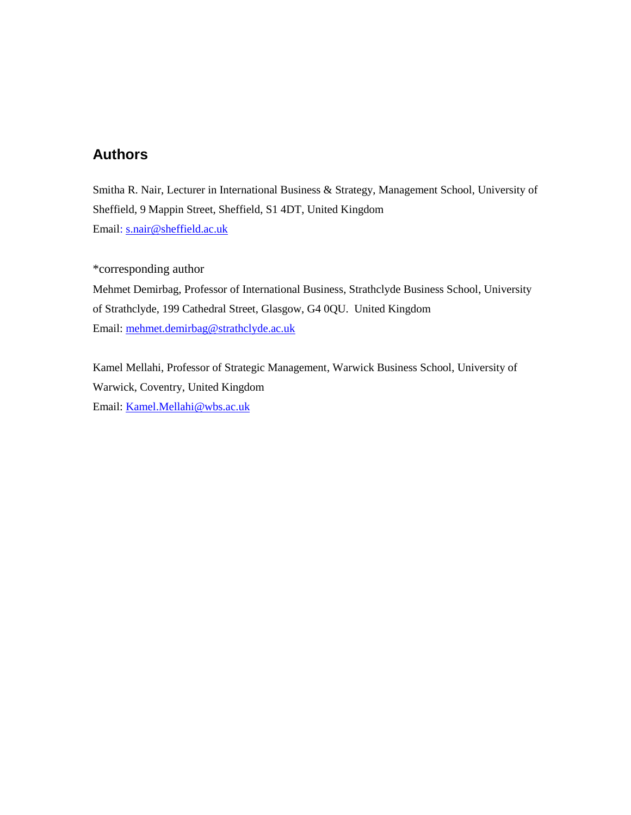## **Authors**

Smitha R. Nair, Lecturer in International Business & Strategy, Management School, University of Sheffield, 9 Mappin Street, Sheffield, S1 4DT, United Kingdom Email: [s.nair@sheffield.ac.uk](mailto:s.nair@sheffield.ac.uk)

\*corresponding author Mehmet Demirbag, Professor of International Business, Strathclyde Business School, University of Strathclyde, 199 Cathedral Street, Glasgow, G4 0QU. United Kingdom Email: [mehmet.demirbag@strathclyde.ac.uk](mailto:mehmet.demirbag@strathclyde.ac.uk)

Kamel Mellahi, Professor of Strategic Management, Warwick Business School, University of Warwick, Coventry, United Kingdom Email: [Kamel.Mellahi@wbs.ac.uk](mailto:Kamel.Mellahi@wbs.ac.uk)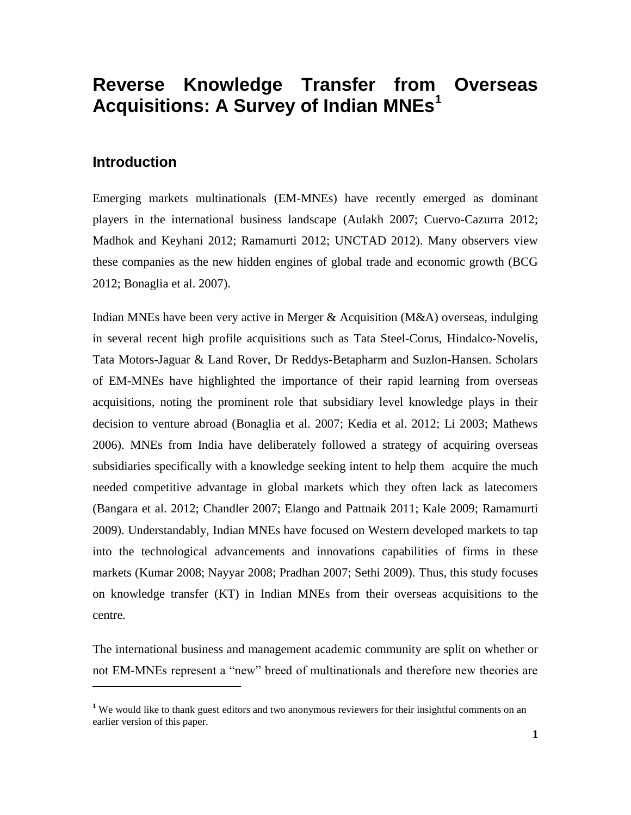# **Reverse Knowledge Transfer from Overseas Acquisitions: A Survey of Indian MNEs<sup>1</sup>**

## **Introduction**

Emerging markets multinationals (EM-MNEs) have recently emerged as dominant players in the international business landscape (Aulakh 2007; Cuervo-Cazurra 2012; Madhok and Keyhani 2012; Ramamurti 2012; UNCTAD 2012). Many observers view these companies as the new hidden engines of global trade and economic growth (BCG 2012; Bonaglia et al. 2007).

Indian MNEs have been very active in Merger & Acquisition (M&A) overseas, indulging in several recent high profile acquisitions such as Tata Steel-Corus, Hindalco-Novelis, Tata Motors-Jaguar & Land Rover, Dr Reddys-Betapharm and Suzlon-Hansen. Scholars of EM-MNEs have highlighted the importance of their rapid learning from overseas acquisitions, noting the prominent role that subsidiary level knowledge plays in their decision to venture abroad (Bonaglia et al. 2007; Kedia et al. 2012; Li 2003; Mathews 2006). MNEs from India have deliberately followed a strategy of acquiring overseas subsidiaries specifically with a knowledge seeking intent to help them acquire the much needed competitive advantage in global markets which they often lack as latecomers (Bangara et al. 2012; Chandler 2007; Elango and Pattnaik 2011; Kale 2009; Ramamurti 2009). Understandably, Indian MNEs have focused on Western developed markets to tap into the technological advancements and innovations capabilities of firms in these markets (Kumar 2008; Nayyar 2008; Pradhan 2007; Sethi 2009). Thus, this study focuses on knowledge transfer (KT) in Indian MNEs from their overseas acquisitions to the centre.

The international business and management academic community are split on whether or not EM-MNEs represent a "new" breed of multinationals and therefore new theories are

**<sup>1</sup>** We would like to thank guest editors and two anonymous reviewers for their insightful comments on an earlier version of this paper.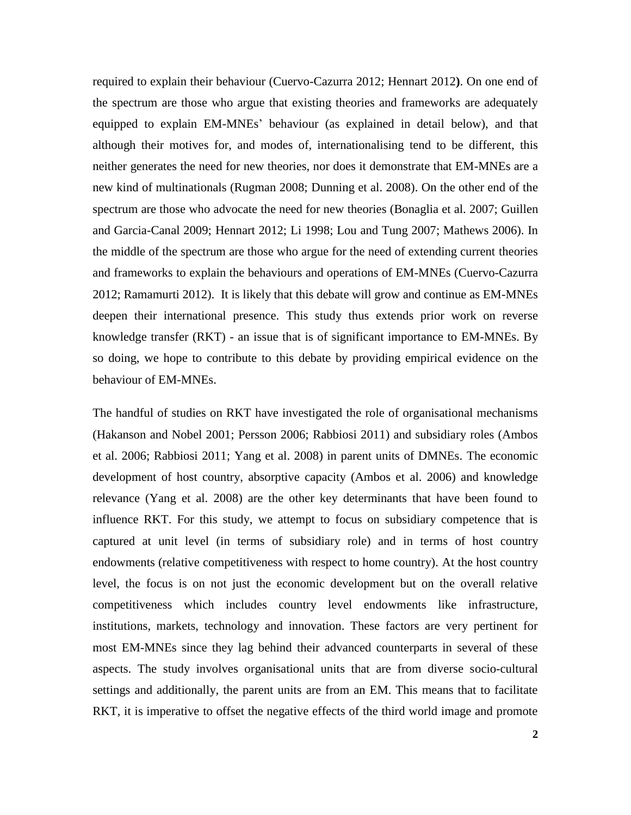required to explain their behaviour (Cuervo-Cazurra 2012; Hennart 2012**)**. On one end of the spectrum are those who argue that existing theories and frameworks are adequately equipped to explain EM-MNEs' behaviour (as explained in detail below), and that although their motives for, and modes of, internationalising tend to be different, this neither generates the need for new theories, nor does it demonstrate that EM-MNEs are a new kind of multinationals (Rugman 2008; Dunning et al. 2008). On the other end of the spectrum are those who advocate the need for new theories (Bonaglia et al. 2007; Guillen and Garcia-Canal 2009; Hennart 2012; Li 1998; Lou and Tung 2007; Mathews 2006). In the middle of the spectrum are those who argue for the need of extending current theories and frameworks to explain the behaviours and operations of EM-MNEs (Cuervo-Cazurra 2012; Ramamurti 2012). It is likely that this debate will grow and continue as EM-MNEs deepen their international presence. This study thus extends prior work on reverse knowledge transfer (RKT) - an issue that is of significant importance to EM-MNEs. By so doing, we hope to contribute to this debate by providing empirical evidence on the behaviour of EM-MNEs.

The handful of studies on RKT have investigated the role of organisational mechanisms (Hakanson and Nobel 2001; Persson 2006; Rabbiosi 2011) and subsidiary roles (Ambos et al. 2006; Rabbiosi 2011; Yang et al. 2008) in parent units of DMNEs. The economic development of host country, absorptive capacity (Ambos et al. 2006) and knowledge relevance (Yang et al. 2008) are the other key determinants that have been found to influence RKT. For this study, we attempt to focus on subsidiary competence that is captured at unit level (in terms of subsidiary role) and in terms of host country endowments (relative competitiveness with respect to home country). At the host country level, the focus is on not just the economic development but on the overall relative competitiveness which includes country level endowments like infrastructure, institutions, markets, technology and innovation. These factors are very pertinent for most EM-MNEs since they lag behind their advanced counterparts in several of these aspects. The study involves organisational units that are from diverse socio-cultural settings and additionally, the parent units are from an EM. This means that to facilitate RKT, it is imperative to offset the negative effects of the third world image and promote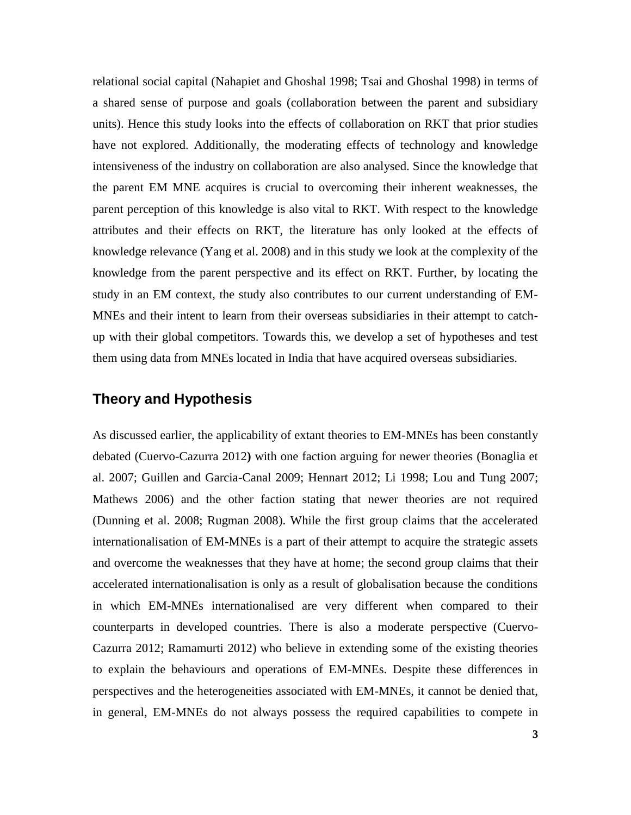relational social capital (Nahapiet and Ghoshal 1998; Tsai and Ghoshal 1998) in terms of a shared sense of purpose and goals (collaboration between the parent and subsidiary units). Hence this study looks into the effects of collaboration on RKT that prior studies have not explored. Additionally, the moderating effects of technology and knowledge intensiveness of the industry on collaboration are also analysed. Since the knowledge that the parent EM MNE acquires is crucial to overcoming their inherent weaknesses, the parent perception of this knowledge is also vital to RKT. With respect to the knowledge attributes and their effects on RKT, the literature has only looked at the effects of knowledge relevance (Yang et al. 2008) and in this study we look at the complexity of the knowledge from the parent perspective and its effect on RKT. Further, by locating the study in an EM context, the study also contributes to our current understanding of EM-MNEs and their intent to learn from their overseas subsidiaries in their attempt to catchup with their global competitors. Towards this, we develop a set of hypotheses and test them using data from MNEs located in India that have acquired overseas subsidiaries.

## **Theory and Hypothesis**

As discussed earlier, the applicability of extant theories to EM-MNEs has been constantly debated (Cuervo-Cazurra 2012**)** with one faction arguing for newer theories (Bonaglia et al. 2007; Guillen and Garcia-Canal 2009; Hennart 2012; Li 1998; Lou and Tung 2007; Mathews 2006) and the other faction stating that newer theories are not required (Dunning et al. 2008; Rugman 2008). While the first group claims that the accelerated internationalisation of EM-MNEs is a part of their attempt to acquire the strategic assets and overcome the weaknesses that they have at home; the second group claims that their accelerated internationalisation is only as a result of globalisation because the conditions in which EM-MNEs internationalised are very different when compared to their counterparts in developed countries. There is also a moderate perspective (Cuervo-Cazurra 2012; Ramamurti 2012) who believe in extending some of the existing theories to explain the behaviours and operations of EM-MNEs. Despite these differences in perspectives and the heterogeneities associated with EM-MNEs, it cannot be denied that, in general, EM-MNEs do not always possess the required capabilities to compete in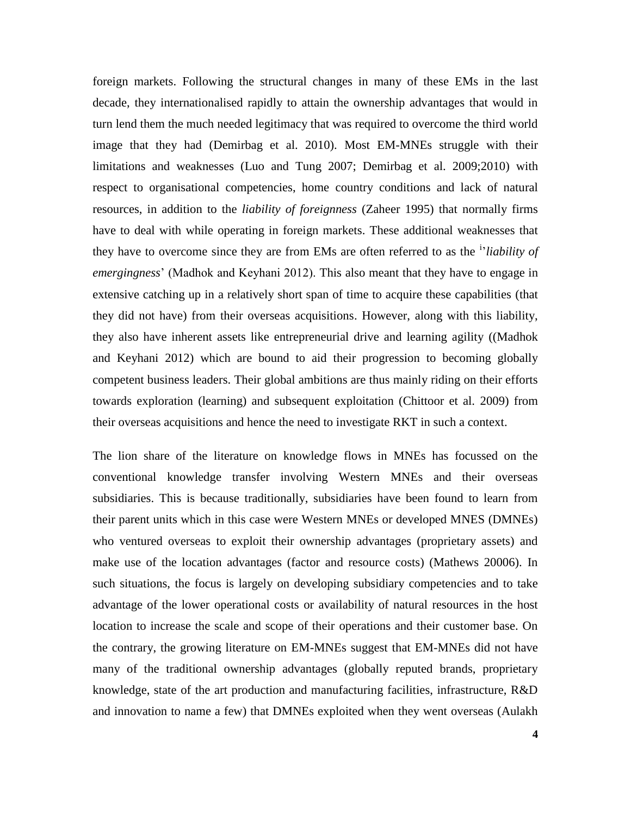foreign markets. Following the structural changes in many of these EMs in the last decade, they internationalised rapidly to attain the ownership advantages that would in turn lend them the much needed legitimacy that was required to overcome the third world image that they had (Demirbag et al. 2010). Most EM-MNEs struggle with their limitations and weaknesses (Luo and Tung 2007; Demirbag et al. 2009;2010) with respect to organisational competencies, home country conditions and lack of natural resources, in addition to the *liability of foreignness* (Zaheer 1995) that normally firms have to deal with while operating in foreign markets. These additional weaknesses that they have to overcome since they are from EMs are often referred to as the <sup>i</sup> '*liability of emergingness*' (Madhok and Keyhani 2012). This also meant that they have to engage in extensive catching up in a relatively short span of time to acquire these capabilities (that they did not have) from their overseas acquisitions. However, along with this liability, they also have inherent assets like entrepreneurial drive and learning agility ((Madhok and Keyhani 2012) which are bound to aid their progression to becoming globally competent business leaders. Their global ambitions are thus mainly riding on their efforts towards exploration (learning) and subsequent exploitation (Chittoor et al. 2009) from their overseas acquisitions and hence the need to investigate RKT in such a context.

The lion share of the literature on knowledge flows in MNEs has focussed on the conventional knowledge transfer involving Western MNEs and their overseas subsidiaries. This is because traditionally, subsidiaries have been found to learn from their parent units which in this case were Western MNEs or developed MNES (DMNEs) who ventured overseas to exploit their ownership advantages (proprietary assets) and make use of the location advantages (factor and resource costs) (Mathews 20006). In such situations, the focus is largely on developing subsidiary competencies and to take advantage of the lower operational costs or availability of natural resources in the host location to increase the scale and scope of their operations and their customer base. On the contrary, the growing literature on EM-MNEs suggest that EM-MNEs did not have many of the traditional ownership advantages (globally reputed brands, proprietary knowledge, state of the art production and manufacturing facilities, infrastructure, R&D and innovation to name a few) that DMNEs exploited when they went overseas (Aulakh

**4**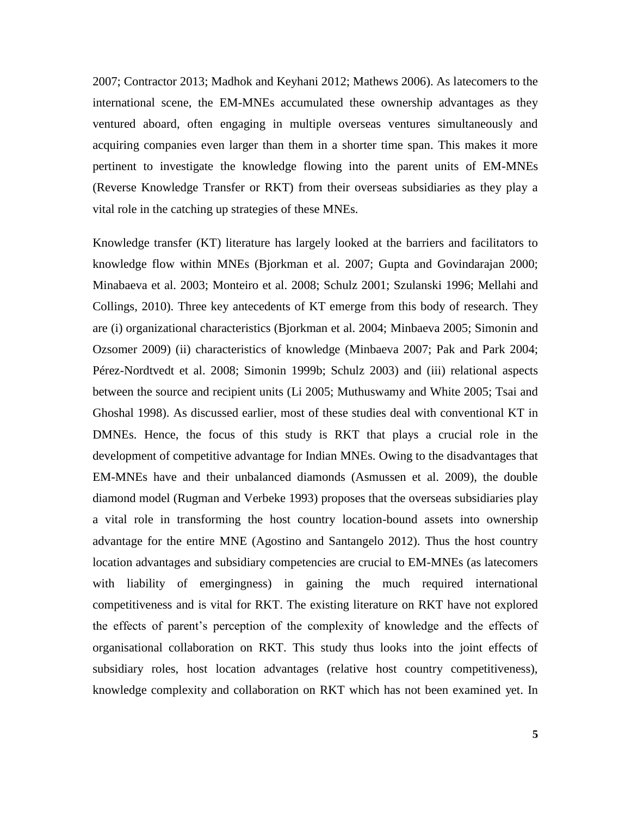2007; Contractor 2013; Madhok and Keyhani 2012; Mathews 2006). As latecomers to the international scene, the EM-MNEs accumulated these ownership advantages as they ventured aboard, often engaging in multiple overseas ventures simultaneously and acquiring companies even larger than them in a shorter time span. This makes it more pertinent to investigate the knowledge flowing into the parent units of EM-MNEs (Reverse Knowledge Transfer or RKT) from their overseas subsidiaries as they play a vital role in the catching up strategies of these MNEs.

Knowledge transfer (KT) literature has largely looked at the barriers and facilitators to knowledge flow within MNEs (Bjorkman et al. 2007; Gupta and Govindarajan 2000; Minabaeva et al. 2003; Monteiro et al. 2008; Schulz 2001; Szulanski 1996; Mellahi and Collings, 2010). Three key antecedents of KT emerge from this body of research. They are (i) organizational characteristics (Bjorkman et al. 2004; Minbaeva 2005; Simonin and Ozsomer 2009) (ii) characteristics of knowledge (Minbaeva 2007; Pak and Park 2004; Pérez-Nordtvedt et al. 2008; Simonin 1999b; Schulz 2003) and (iii) relational aspects between the source and recipient units (Li 2005; Muthuswamy and White 2005; Tsai and Ghoshal 1998). As discussed earlier, most of these studies deal with conventional KT in DMNEs. Hence, the focus of this study is RKT that plays a crucial role in the development of competitive advantage for Indian MNEs. Owing to the disadvantages that EM-MNEs have and their unbalanced diamonds (Asmussen et al. 2009), the double diamond model (Rugman and Verbeke 1993) proposes that the overseas subsidiaries play a vital role in transforming the host country location-bound assets into ownership advantage for the entire MNE (Agostino and Santangelo 2012). Thus the host country location advantages and subsidiary competencies are crucial to EM-MNEs (as latecomers with liability of emergingness) in gaining the much required international competitiveness and is vital for RKT. The existing literature on RKT have not explored the effects of parent's perception of the complexity of knowledge and the effects of organisational collaboration on RKT. This study thus looks into the joint effects of subsidiary roles, host location advantages (relative host country competitiveness), knowledge complexity and collaboration on RKT which has not been examined yet. In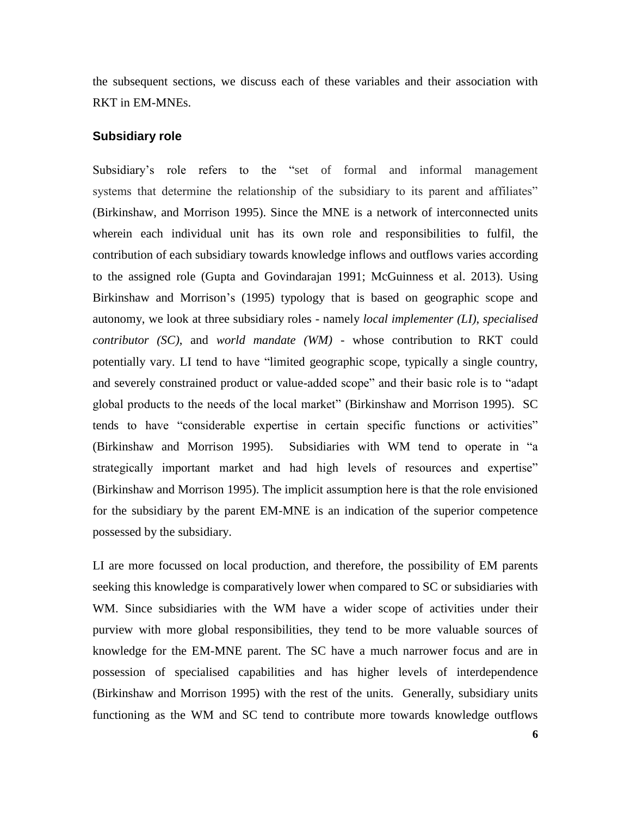the subsequent sections, we discuss each of these variables and their association with RKT in EM-MNEs.

#### **Subsidiary role**

Subsidiary's role refers to the "set of formal and informal management systems that determine the relationship of the subsidiary to its parent and affiliates" [\(Birkinshaw,](http://scholar.google.co.uk/citations?user=v7TLBXMAAAAJ&hl=en&oi=sra) and Morrison 1995). Since the MNE is a network of interconnected units wherein each individual unit has its own role and responsibilities to fulfil, the contribution of each subsidiary towards knowledge inflows and outflows varies according to the assigned role (Gupta and Govindarajan 1991; McGuinness et al. 2013). Using Birkinshaw and Morrison's (1995) typology that is based on geographic scope and autonomy, we look at three subsidiary roles - namely *local implementer (LI)*, *specialised contributor (SC)*, and *world mandate (WM)* - whose contribution to RKT could potentially vary. LI tend to have "limited geographic scope, typically a single country, and severely constrained product or value-added scope" and their basic role is to "adapt global products to the needs of the local market" (Birkinshaw and Morrison 1995). SC tends to have "considerable expertise in certain specific functions or activities" (Birkinshaw and Morrison 1995). Subsidiaries with WM tend to operate in "a strategically important market and had high levels of resources and expertise" (Birkinshaw and Morrison 1995). The implicit assumption here is that the role envisioned for the subsidiary by the parent EM-MNE is an indication of the superior competence possessed by the subsidiary.

LI are more focussed on local production, and therefore, the possibility of EM parents seeking this knowledge is comparatively lower when compared to SC or subsidiaries with WM. Since subsidiaries with the WM have a wider scope of activities under their purview with more global responsibilities, they tend to be more valuable sources of knowledge for the EM-MNE parent. The SC have a much narrower focus and are in possession of specialised capabilities and has higher levels of interdependence (Birkinshaw and Morrison 1995) with the rest of the units. Generally, subsidiary units functioning as the WM and SC tend to contribute more towards knowledge outflows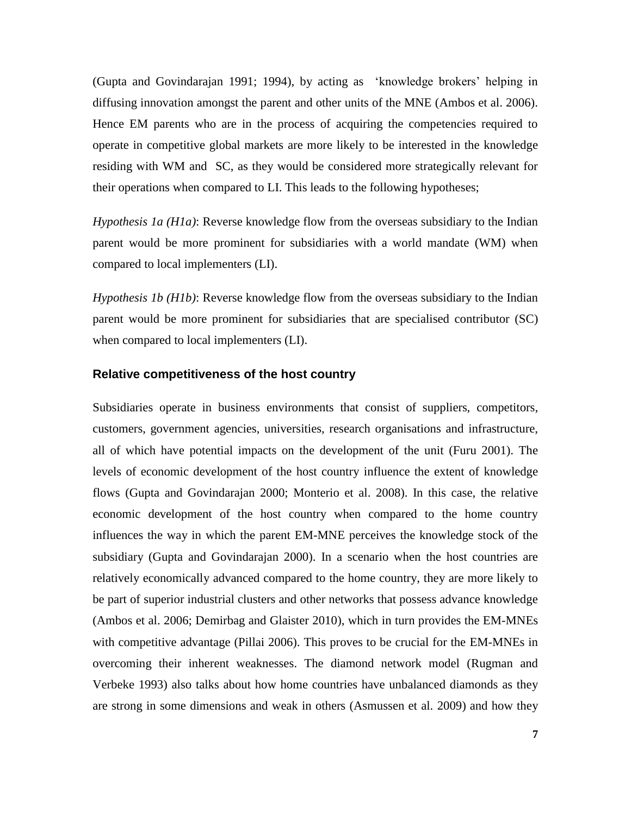(Gupta and Govindarajan 1991; 1994), by acting as 'knowledge brokers' helping in diffusing innovation amongst the parent and other units of the MNE (Ambos et al. 2006). Hence EM parents who are in the process of acquiring the competencies required to operate in competitive global markets are more likely to be interested in the knowledge residing with WM and SC, as they would be considered more strategically relevant for their operations when compared to LI. This leads to the following hypotheses;

*Hypothesis 1a (H1a)*: Reverse knowledge flow from the overseas subsidiary to the Indian parent would be more prominent for subsidiaries with a world mandate (WM) when compared to local implementers (LI).

*Hypothesis 1b (H1b)*: Reverse knowledge flow from the overseas subsidiary to the Indian parent would be more prominent for subsidiaries that are specialised contributor (SC) when compared to local implementers (LI).

#### **Relative competitiveness of the host country**

Subsidiaries operate in business environments that consist of suppliers, competitors, customers, government agencies, universities, research organisations and infrastructure, all of which have potential impacts on the development of the unit (Furu 2001). The levels of economic development of the host country influence the extent of knowledge flows (Gupta and Govindarajan 2000; Monterio et al. 2008). In this case, the relative economic development of the host country when compared to the home country influences the way in which the parent EM-MNE perceives the knowledge stock of the subsidiary (Gupta and Govindarajan 2000). In a scenario when the host countries are relatively economically advanced compared to the home country, they are more likely to be part of superior industrial clusters and other networks that possess advance knowledge (Ambos et al. 2006; Demirbag and Glaister 2010), which in turn provides the EM-MNEs with competitive advantage (Pillai 2006). This proves to be crucial for the EM-MNEs in overcoming their inherent weaknesses. The diamond network model (Rugman and Verbeke 1993) also talks about how home countries have unbalanced diamonds as they are strong in some dimensions and weak in others (Asmussen et al. 2009) and how they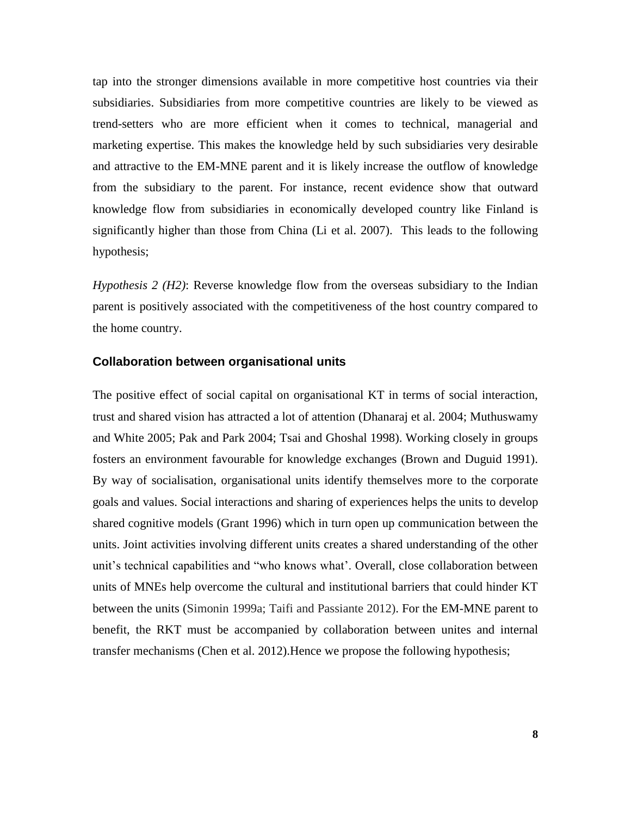tap into the stronger dimensions available in more competitive host countries via their subsidiaries. Subsidiaries from more competitive countries are likely to be viewed as trend-setters who are more efficient when it comes to technical, managerial and marketing expertise. This makes the knowledge held by such subsidiaries very desirable and attractive to the EM-MNE parent and it is likely increase the outflow of knowledge from the subsidiary to the parent. For instance, recent evidence show that outward knowledge flow from subsidiaries in economically developed country like Finland is significantly higher than those from China (Li et al. 2007). This leads to the following hypothesis;

*Hypothesis 2 (H2)*: Reverse knowledge flow from the overseas subsidiary to the Indian parent is positively associated with the competitiveness of the host country compared to the home country.

#### **Collaboration between organisational units**

The positive effect of social capital on organisational KT in terms of social interaction, trust and shared vision has attracted a lot of attention (Dhanaraj et al. 2004; Muthuswamy and White 2005; Pak and Park 2004; Tsai and Ghoshal 1998). Working closely in groups fosters an environment favourable for knowledge exchanges (Brown and Duguid 1991). By way of socialisation, organisational units identify themselves more to the corporate goals and values. Social interactions and sharing of experiences helps the units to develop shared cognitive models (Grant 1996) which in turn open up communication between the units. Joint activities involving different units creates a shared understanding of the other unit's technical capabilities and "who knows what'. Overall, close collaboration between units of MNEs help overcome the cultural and institutional barriers that could hinder KT between the units (Simonin 1999a; Taifi and Passiante 2012). For the EM-MNE parent to benefit, the RKT must be accompanied by collaboration between unites and internal transfer mechanisms (Chen et al. 2012).Hence we propose the following hypothesis;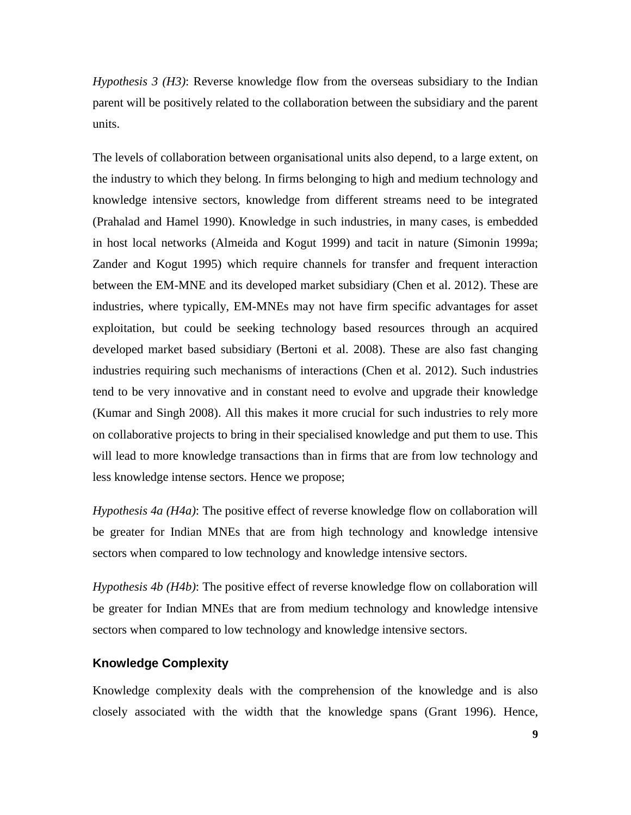*Hypothesis 3 (H3)*: Reverse knowledge flow from the overseas subsidiary to the Indian parent will be positively related to the collaboration between the subsidiary and the parent units.

The levels of collaboration between organisational units also depend, to a large extent, on the industry to which they belong. In firms belonging to high and medium technology and knowledge intensive sectors, knowledge from different streams need to be integrated (Prahalad and Hamel 1990). Knowledge in such industries, in many cases, is embedded in host local networks (Almeida and Kogut 1999) and tacit in nature (Simonin 1999a; Zander and Kogut 1995) which require channels for transfer and frequent interaction between the EM-MNE and its developed market subsidiary (Chen et al. 2012). These are industries, where typically, EM-MNEs may not have firm specific advantages for asset exploitation, but could be seeking technology based resources through an acquired developed market based subsidiary (Bertoni et al. 2008). These are also fast changing industries requiring such mechanisms of interactions (Chen et al. 2012). Such industries tend to be very innovative and in constant need to evolve and upgrade their knowledge (Kumar and Singh 2008). All this makes it more crucial for such industries to rely more on collaborative projects to bring in their specialised knowledge and put them to use. This will lead to more knowledge transactions than in firms that are from low technology and less knowledge intense sectors. Hence we propose;

*Hypothesis 4a (H4a)*: The positive effect of reverse knowledge flow on collaboration will be greater for Indian MNEs that are from high technology and knowledge intensive sectors when compared to low technology and knowledge intensive sectors.

*Hypothesis 4b (H4b)*: The positive effect of reverse knowledge flow on collaboration will be greater for Indian MNEs that are from medium technology and knowledge intensive sectors when compared to low technology and knowledge intensive sectors.

### **Knowledge Complexity**

Knowledge complexity deals with the comprehension of the knowledge and is also closely associated with the width that the knowledge spans (Grant 1996). Hence,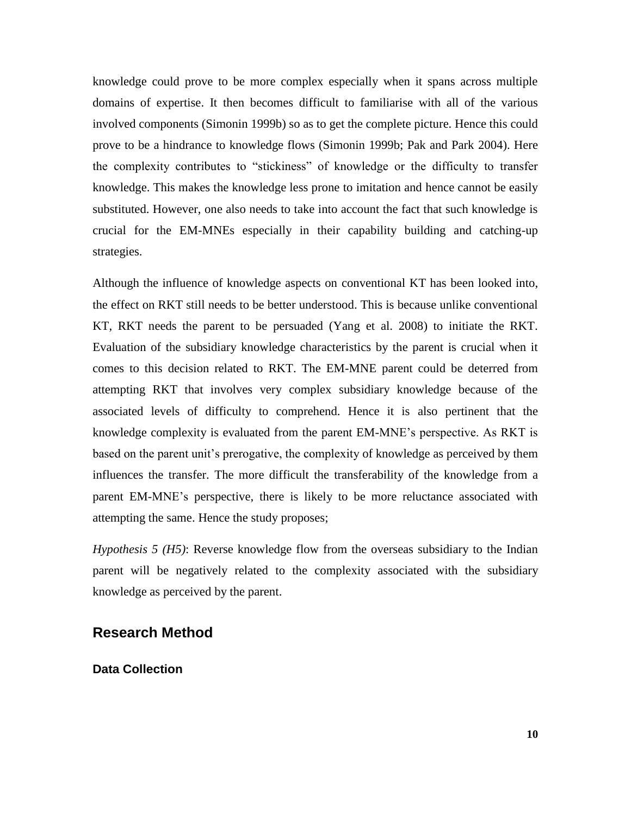knowledge could prove to be more complex especially when it spans across multiple domains of expertise. It then becomes difficult to familiarise with all of the various involved components (Simonin 1999b) so as to get the complete picture. Hence this could prove to be a hindrance to knowledge flows (Simonin 1999b; Pak and Park 2004). Here the complexity contributes to "stickiness" of knowledge or the difficulty to transfer knowledge. This makes the knowledge less prone to imitation and hence cannot be easily substituted. However, one also needs to take into account the fact that such knowledge is crucial for the EM-MNEs especially in their capability building and catching-up strategies.

Although the influence of knowledge aspects on conventional KT has been looked into, the effect on RKT still needs to be better understood. This is because unlike conventional KT, RKT needs the parent to be persuaded (Yang et al. 2008) to initiate the RKT. Evaluation of the subsidiary knowledge characteristics by the parent is crucial when it comes to this decision related to RKT. The EM-MNE parent could be deterred from attempting RKT that involves very complex subsidiary knowledge because of the associated levels of difficulty to comprehend. Hence it is also pertinent that the knowledge complexity is evaluated from the parent EM-MNE's perspective. As RKT is based on the parent unit's prerogative, the complexity of knowledge as perceived by them influences the transfer. The more difficult the transferability of the knowledge from a parent EM-MNE's perspective, there is likely to be more reluctance associated with attempting the same. Hence the study proposes;

*Hypothesis 5 (H5)*: Reverse knowledge flow from the overseas subsidiary to the Indian parent will be negatively related to the complexity associated with the subsidiary knowledge as perceived by the parent.

## **Research Method**

**Data Collection**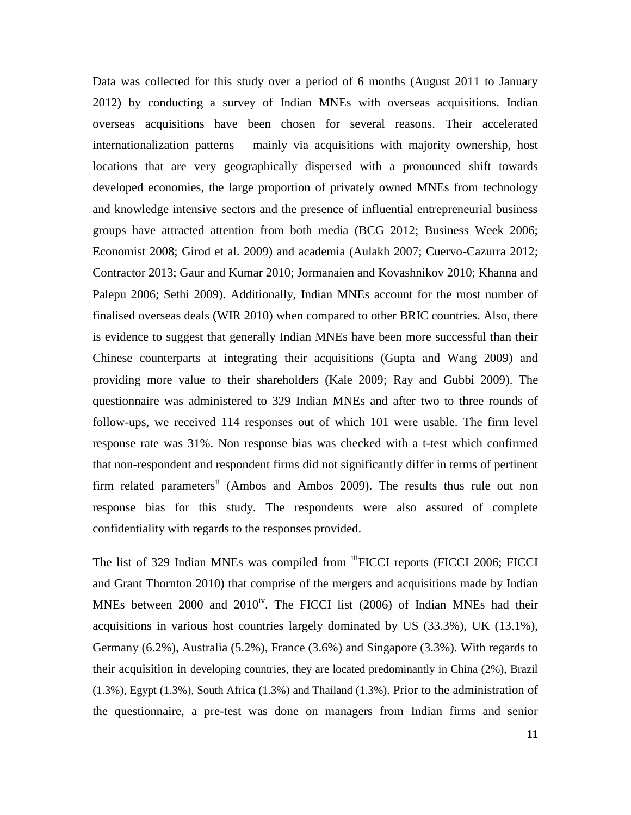Data was collected for this study over a period of 6 months (August 2011 to January 2012) by conducting a survey of Indian MNEs with overseas acquisitions. Indian overseas acquisitions have been chosen for several reasons. Their accelerated internationalization patterns – mainly via acquisitions with majority ownership, host locations that are very geographically dispersed with a pronounced shift towards developed economies, the large proportion of privately owned MNEs from technology and knowledge intensive sectors and the presence of influential entrepreneurial business groups have attracted attention from both media (BCG 2012; Business Week 2006; Economist 2008; Girod et al. 2009) and academia (Aulakh 2007; Cuervo-Cazurra 2012; Contractor 2013; Gaur and Kumar 2010; Jormanaien and Kovashnikov 2010; Khanna and Palepu 2006; Sethi 2009). Additionally, Indian MNEs account for the most number of finalised overseas deals (WIR 2010) when compared to other BRIC countries. Also, there is evidence to suggest that generally Indian MNEs have been more successful than their Chinese counterparts at integrating their acquisitions (Gupta and Wang 2009) and providing more value to their shareholders (Kale 2009; Ray and Gubbi 2009). The questionnaire was administered to 329 Indian MNEs and after two to three rounds of follow-ups, we received 114 responses out of which 101 were usable. The firm level response rate was 31%. Non response bias was checked with a t-test which confirmed that non-respondent and respondent firms did not significantly differ in terms of pertinent firm related parameters<sup>ii</sup> (Ambos and Ambos 2009). The results thus rule out non response bias for this study. The respondents were also assured of complete confidentiality with regards to the responses provided.

The list of 329 Indian MNEs was compiled from <sup>iii</sup>FICCI reports (FICCI 2006; FICCI and Grant Thornton 2010) that comprise of the mergers and acquisitions made by Indian MNEs between 2000 and  $2010<sup>iv</sup>$ . The FICCI list (2006) of Indian MNEs had their acquisitions in various host countries largely dominated by US (33.3%), UK (13.1%), Germany (6.2%), Australia (5.2%), France (3.6%) and Singapore (3.3%). With regards to their acquisition in developing countries, they are located predominantly in China (2%), Brazil (1.3%), Egypt (1.3%), South Africa (1.3%) and Thailand (1.3%). Prior to the administration of the questionnaire, a pre-test was done on managers from Indian firms and senior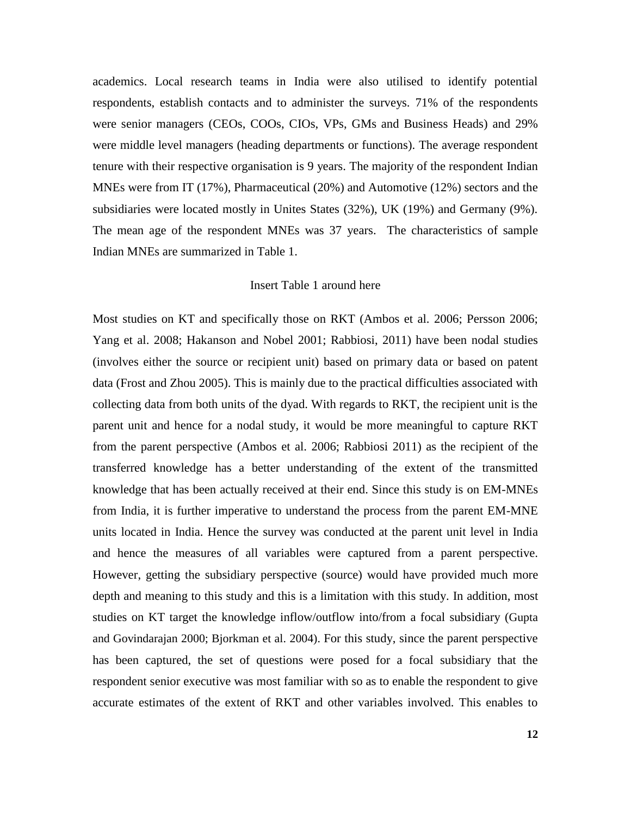academics. Local research teams in India were also utilised to identify potential respondents, establish contacts and to administer the surveys. 71% of the respondents were senior managers (CEOs, COOs, CIOs, VPs, GMs and Business Heads) and 29% were middle level managers (heading departments or functions). The average respondent tenure with their respective organisation is 9 years. The majority of the respondent Indian MNEs were from IT (17%), Pharmaceutical (20%) and Automotive (12%) sectors and the subsidiaries were located mostly in Unites States (32%), UK (19%) and Germany (9%). The mean age of the respondent MNEs was 37 years. The characteristics of sample Indian MNEs are summarized in Table 1.

#### Insert Table 1 around here

Most studies on KT and specifically those on RKT (Ambos et al. 2006; Persson 2006; Yang et al. 2008; Hakanson and Nobel 2001; Rabbiosi, 2011) have been nodal studies (involves either the source or recipient unit) based on primary data or based on patent data (Frost and Zhou 2005). This is mainly due to the practical difficulties associated with collecting data from both units of the dyad. With regards to RKT, the recipient unit is the parent unit and hence for a nodal study, it would be more meaningful to capture RKT from the parent perspective (Ambos et al. 2006; Rabbiosi 2011) as the recipient of the transferred knowledge has a better understanding of the extent of the transmitted knowledge that has been actually received at their end. Since this study is on EM-MNEs from India, it is further imperative to understand the process from the parent EM-MNE units located in India. Hence the survey was conducted at the parent unit level in India and hence the measures of all variables were captured from a parent perspective. However, getting the subsidiary perspective (source) would have provided much more depth and meaning to this study and this is a limitation with this study. In addition, most studies on KT target the knowledge inflow/outflow into/from a focal subsidiary (Gupta and Govindarajan 2000; Bjorkman et al. 2004). For this study, since the parent perspective has been captured, the set of questions were posed for a focal subsidiary that the respondent senior executive was most familiar with so as to enable the respondent to give accurate estimates of the extent of RKT and other variables involved. This enables to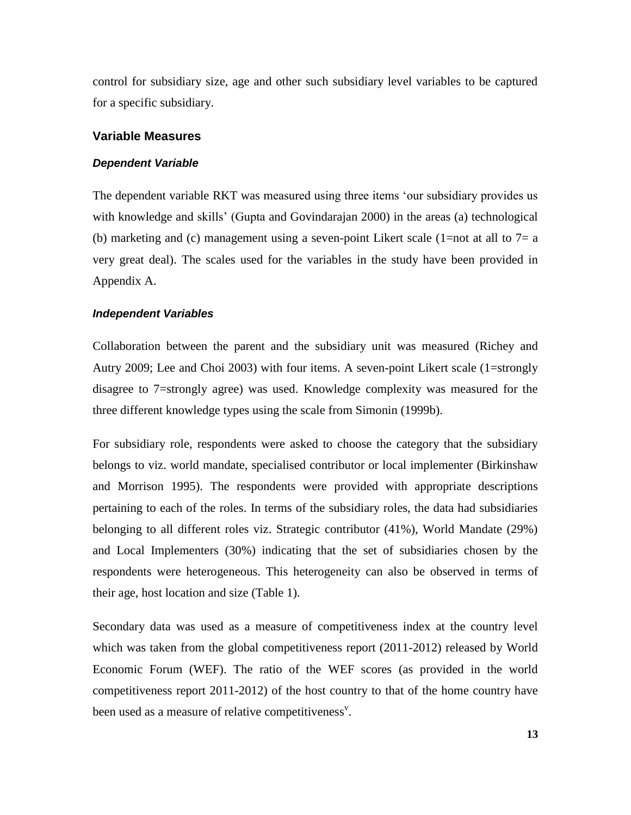control for subsidiary size, age and other such subsidiary level variables to be captured for a specific subsidiary.

#### **Variable Measures**

#### *Dependent Variable*

The dependent variable RKT was measured using three items 'our subsidiary provides us with knowledge and skills' (Gupta and Govindarajan 2000) in the areas (a) technological (b) marketing and (c) management using a seven-point Likert scale (1=not at all to  $7=$  a very great deal). The scales used for the variables in the study have been provided in Appendix A.

#### *Independent Variables*

Collaboration between the parent and the subsidiary unit was measured (Richey and Autry 2009; Lee and Choi 2003) with four items. A seven-point Likert scale (1=strongly disagree to 7=strongly agree) was used. Knowledge complexity was measured for the three different knowledge types using the scale from Simonin (1999b).

For subsidiary role, respondents were asked to choose the category that the subsidiary belongs to viz. world mandate, specialised contributor or local implementer (Birkinshaw and Morrison 1995). The respondents were provided with appropriate descriptions pertaining to each of the roles. In terms of the subsidiary roles, the data had subsidiaries belonging to all different roles viz. Strategic contributor (41%), World Mandate (29%) and Local Implementers (30%) indicating that the set of subsidiaries chosen by the respondents were heterogeneous. This heterogeneity can also be observed in terms of their age, host location and size (Table 1).

Secondary data was used as a measure of competitiveness index at the country level which was taken from the global competitiveness report (2011-2012) released by World Economic Forum (WEF). The ratio of the WEF scores (as provided in the world competitiveness report 2011-2012) of the host country to that of the home country have been used as a measure of relative competitiveness<sup>v</sup>.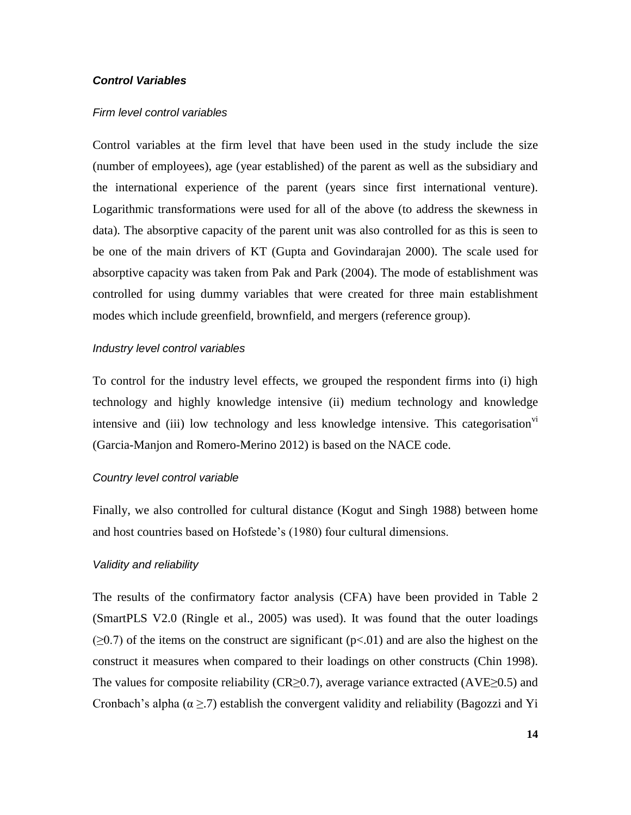#### *Control Variables*

#### *Firm level control variables*

Control variables at the firm level that have been used in the study include the size (number of employees), age (year established) of the parent as well as the subsidiary and the international experience of the parent (years since first international venture). Logarithmic transformations were used for all of the above (to address the skewness in data). The absorptive capacity of the parent unit was also controlled for as this is seen to be one of the main drivers of KT (Gupta and Govindarajan 2000). The scale used for absorptive capacity was taken from Pak and Park (2004). The mode of establishment was controlled for using dummy variables that were created for three main establishment modes which include greenfield, brownfield, and mergers (reference group).

#### *Industry level control variables*

To control for the industry level effects, we grouped the respondent firms into (i) high technology and highly knowledge intensive (ii) medium technology and knowledge intensive and (iii) low technology and less knowledge intensive. This categorisation<sup>vi</sup> (Garcia-Manjon and Romero-Merino 2012) is based on the NACE code.

#### *Country level control variable*

Finally, we also controlled for cultural distance (Kogut and Singh 1988) between home and host countries based on Hofstede's (1980) four cultural dimensions.

#### *Validity and reliability*

The results of the confirmatory factor analysis (CFA) have been provided in Table 2 (SmartPLS V2.0 (Ringle et al., 2005) was used). It was found that the outer loadings  $(\geq 0.7)$  of the items on the construct are significant ( $p<0.01$ ) and are also the highest on the construct it measures when compared to their loadings on other constructs (Chin 1998). The values for composite reliability (CR≥0.7), average variance extracted (AVE≥0.5) and Cronbach's alpha ( $\alpha \geq 7$ ) establish the convergent validity and reliability (Bagozzi and Yi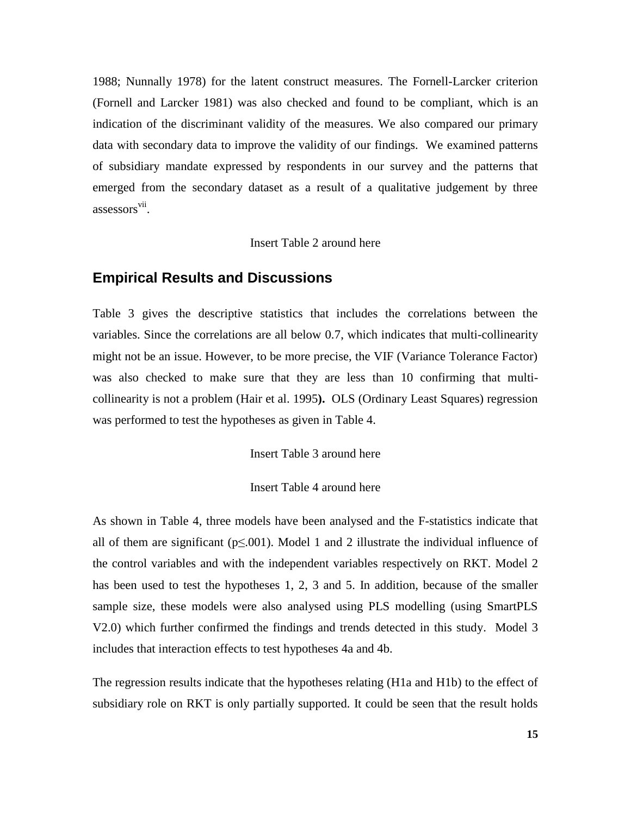1988; Nunnally 1978) for the latent construct measures. The Fornell-Larcker criterion (Fornell and Larcker 1981) was also checked and found to be compliant, which is an indication of the discriminant validity of the measures. We also compared our primary data with secondary data to improve the validity of our findings. We examined patterns of subsidiary mandate expressed by respondents in our survey and the patterns that emerged from the secondary dataset as a result of a qualitative judgement by three assessors<sup>vii</sup>.

Insert Table 2 around here

### **Empirical Results and Discussions**

Table 3 gives the descriptive statistics that includes the correlations between the variables. Since the correlations are all below 0.7, which indicates that multi-collinearity might not be an issue. However, to be more precise, the VIF (Variance Tolerance Factor) was also checked to make sure that they are less than 10 confirming that multicollinearity is not a problem (Hair et al. 1995**).** OLS (Ordinary Least Squares) regression was performed to test the hypotheses as given in Table 4.

Insert Table 3 around here

#### Insert Table 4 around here

As shown in Table 4, three models have been analysed and the F-statistics indicate that all of them are significant ( $p \le 0.001$ ). Model 1 and 2 illustrate the individual influence of the control variables and with the independent variables respectively on RKT. Model 2 has been used to test the hypotheses 1, 2, 3 and 5. In addition, because of the smaller sample size, these models were also analysed using PLS modelling (using SmartPLS V2.0) which further confirmed the findings and trends detected in this study. Model 3 includes that interaction effects to test hypotheses 4a and 4b.

The regression results indicate that the hypotheses relating (H1a and H1b) to the effect of subsidiary role on RKT is only partially supported. It could be seen that the result holds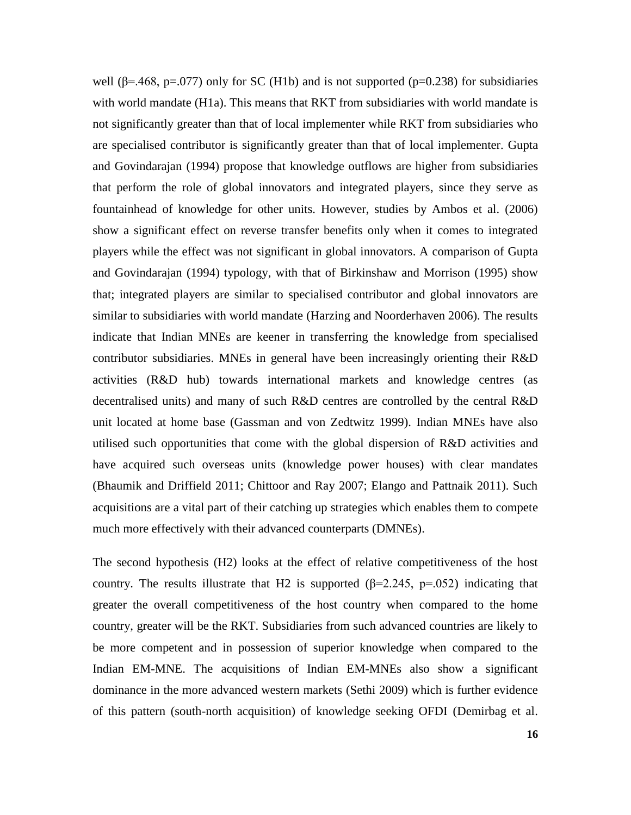well ( $\beta$ =.468, p=.077) only for SC (H1b) and is not supported ( $p$ =0.238) for subsidiaries with world mandate (H1a). This means that RKT from subsidiaries with world mandate is not significantly greater than that of local implementer while RKT from subsidiaries who are specialised contributor is significantly greater than that of local implementer. Gupta and Govindarajan (1994) propose that knowledge outflows are higher from subsidiaries that perform the role of global innovators and integrated players, since they serve as fountainhead of knowledge for other units. However, studies by Ambos et al. (2006) show a significant effect on reverse transfer benefits only when it comes to integrated players while the effect was not significant in global innovators. A comparison of Gupta and Govindarajan (1994) typology, with that of Birkinshaw and Morrison (1995) show that; integrated players are similar to specialised contributor and global innovators are similar to subsidiaries with world mandate (Harzing and Noorderhaven 2006). The results indicate that Indian MNEs are keener in transferring the knowledge from specialised contributor subsidiaries. MNEs in general have been increasingly orienting their R&D activities (R&D hub) towards international markets and knowledge centres (as decentralised units) and many of such R&D centres are controlled by the central R&D unit located at home base (Gassman and von Zedtwitz 1999). Indian MNEs have also utilised such opportunities that come with the global dispersion of R&D activities and have acquired such overseas units (knowledge power houses) with clear mandates (Bhaumik and Driffield 2011; Chittoor and Ray 2007; Elango and Pattnaik 2011). Such acquisitions are a vital part of their catching up strategies which enables them to compete much more effectively with their advanced counterparts (DMNEs).

The second hypothesis (H2) looks at the effect of relative competitiveness of the host country. The results illustrate that H2 is supported  $(\beta=2.245, p=.052)$  indicating that greater the overall competitiveness of the host country when compared to the home country, greater will be the RKT. Subsidiaries from such advanced countries are likely to be more competent and in possession of superior knowledge when compared to the Indian EM-MNE. The acquisitions of Indian EM-MNEs also show a significant dominance in the more advanced western markets (Sethi 2009) which is further evidence of this pattern (south-north acquisition) of knowledge seeking OFDI (Demirbag et al.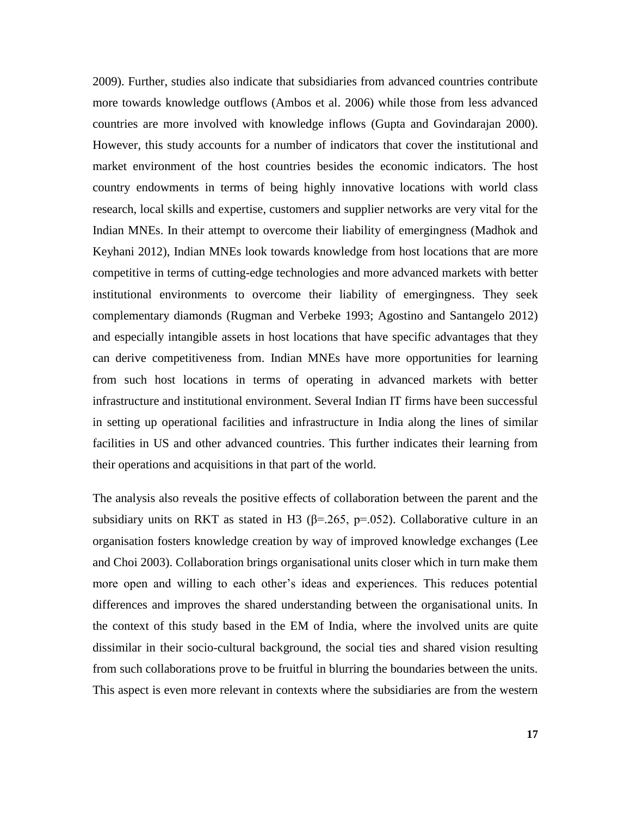2009). Further, studies also indicate that subsidiaries from advanced countries contribute more towards knowledge outflows (Ambos et al. 2006) while those from less advanced countries are more involved with knowledge inflows (Gupta and Govindarajan 2000). However, this study accounts for a number of indicators that cover the institutional and market environment of the host countries besides the economic indicators. The host country endowments in terms of being highly innovative locations with world class research, local skills and expertise, customers and supplier networks are very vital for the Indian MNEs. In their attempt to overcome their liability of emergingness (Madhok and Keyhani 2012), Indian MNEs look towards knowledge from host locations that are more competitive in terms of cutting-edge technologies and more advanced markets with better institutional environments to overcome their liability of emergingness. They seek complementary diamonds (Rugman and Verbeke 1993; Agostino and Santangelo 2012) and especially intangible assets in host locations that have specific advantages that they can derive competitiveness from. Indian MNEs have more opportunities for learning from such host locations in terms of operating in advanced markets with better infrastructure and institutional environment. Several Indian IT firms have been successful in setting up operational facilities and infrastructure in India along the lines of similar facilities in US and other advanced countries. This further indicates their learning from their operations and acquisitions in that part of the world.

The analysis also reveals the positive effects of collaboration between the parent and the subsidiary units on RKT as stated in H3 ( $\beta$ =.265, p=.052). Collaborative culture in an organisation fosters knowledge creation by way of improved knowledge exchanges (Lee and Choi 2003). Collaboration brings organisational units closer which in turn make them more open and willing to each other's ideas and experiences. This reduces potential differences and improves the shared understanding between the organisational units. In the context of this study based in the EM of India, where the involved units are quite dissimilar in their socio-cultural background, the social ties and shared vision resulting from such collaborations prove to be fruitful in blurring the boundaries between the units. This aspect is even more relevant in contexts where the subsidiaries are from the western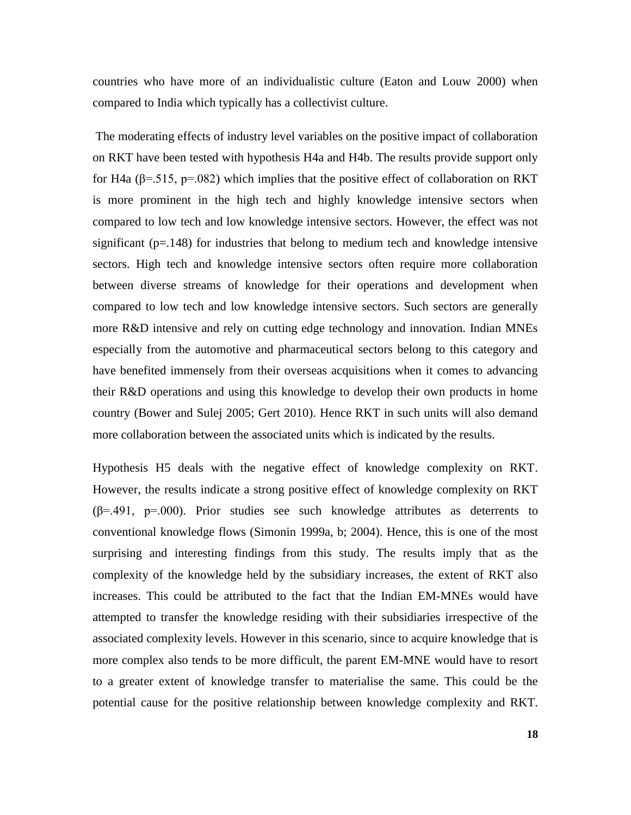countries who have more of an individualistic culture (Eaton and Louw 2000) when compared to India which typically has a collectivist culture.

The moderating effects of industry level variables on the positive impact of collaboration on RKT have been tested with hypothesis H4a and H4b. The results provide support only for H4a ( $\beta$ =.515, p=.082) which implies that the positive effect of collaboration on RKT is more prominent in the high tech and highly knowledge intensive sectors when compared to low tech and low knowledge intensive sectors. However, the effect was not significant ( $p=148$ ) for industries that belong to medium tech and knowledge intensive sectors. High tech and knowledge intensive sectors often require more collaboration between diverse streams of knowledge for their operations and development when compared to low tech and low knowledge intensive sectors. Such sectors are generally more R&D intensive and rely on cutting edge technology and innovation. Indian MNEs especially from the automotive and pharmaceutical sectors belong to this category and have benefited immensely from their overseas acquisitions when it comes to advancing their R&D operations and using this knowledge to develop their own products in home country (Bower and Sulej 2005; Gert 2010). Hence RKT in such units will also demand more collaboration between the associated units which is indicated by the results.

Hypothesis H5 deals with the negative effect of knowledge complexity on RKT. However, the results indicate a strong positive effect of knowledge complexity on RKT  $(\beta = .491, p = .000)$ . Prior studies see such knowledge attributes as deterrents to conventional knowledge flows (Simonin 1999a, b; 2004). Hence, this is one of the most surprising and interesting findings from this study. The results imply that as the complexity of the knowledge held by the subsidiary increases, the extent of RKT also increases. This could be attributed to the fact that the Indian EM-MNEs would have attempted to transfer the knowledge residing with their subsidiaries irrespective of the associated complexity levels. However in this scenario, since to acquire knowledge that is more complex also tends to be more difficult, the parent EM-MNE would have to resort to a greater extent of knowledge transfer to materialise the same. This could be the potential cause for the positive relationship between knowledge complexity and RKT.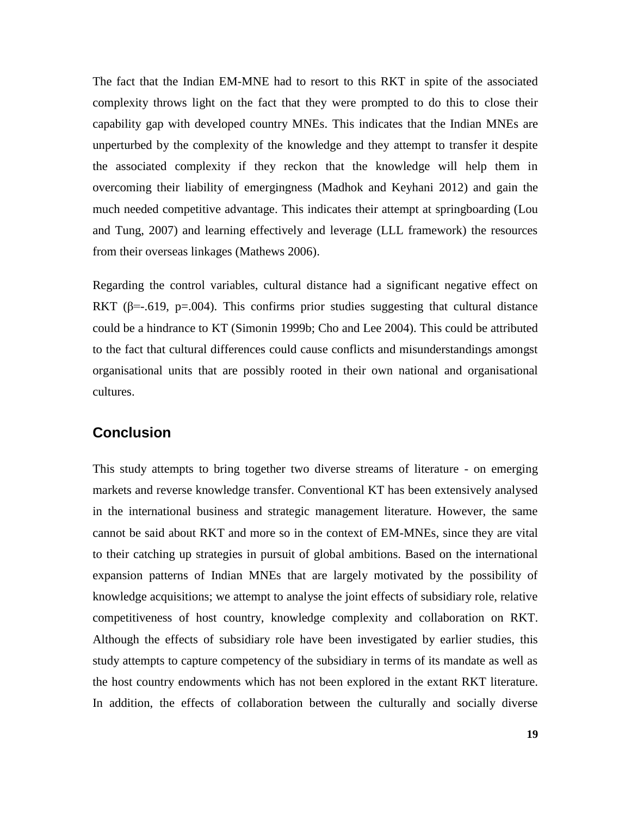The fact that the Indian EM-MNE had to resort to this RKT in spite of the associated complexity throws light on the fact that they were prompted to do this to close their capability gap with developed country MNEs. This indicates that the Indian MNEs are unperturbed by the complexity of the knowledge and they attempt to transfer it despite the associated complexity if they reckon that the knowledge will help them in overcoming their liability of emergingness (Madhok and Keyhani 2012) and gain the much needed competitive advantage. This indicates their attempt at springboarding (Lou and Tung, 2007) and learning effectively and leverage (LLL framework) the resources from their overseas linkages (Mathews 2006).

Regarding the control variables, cultural distance had a significant negative effect on RKT ( $\beta$ =-.619, p=.004). This confirms prior studies suggesting that cultural distance could be a hindrance to KT (Simonin 1999b; Cho and Lee 2004). This could be attributed to the fact that cultural differences could cause conflicts and misunderstandings amongst organisational units that are possibly rooted in their own national and organisational cultures.

## **Conclusion**

This study attempts to bring together two diverse streams of literature - on emerging markets and reverse knowledge transfer. Conventional KT has been extensively analysed in the international business and strategic management literature. However, the same cannot be said about RKT and more so in the context of EM-MNEs, since they are vital to their catching up strategies in pursuit of global ambitions. Based on the international expansion patterns of Indian MNEs that are largely motivated by the possibility of knowledge acquisitions; we attempt to analyse the joint effects of subsidiary role, relative competitiveness of host country, knowledge complexity and collaboration on RKT. Although the effects of subsidiary role have been investigated by earlier studies, this study attempts to capture competency of the subsidiary in terms of its mandate as well as the host country endowments which has not been explored in the extant RKT literature. In addition, the effects of collaboration between the culturally and socially diverse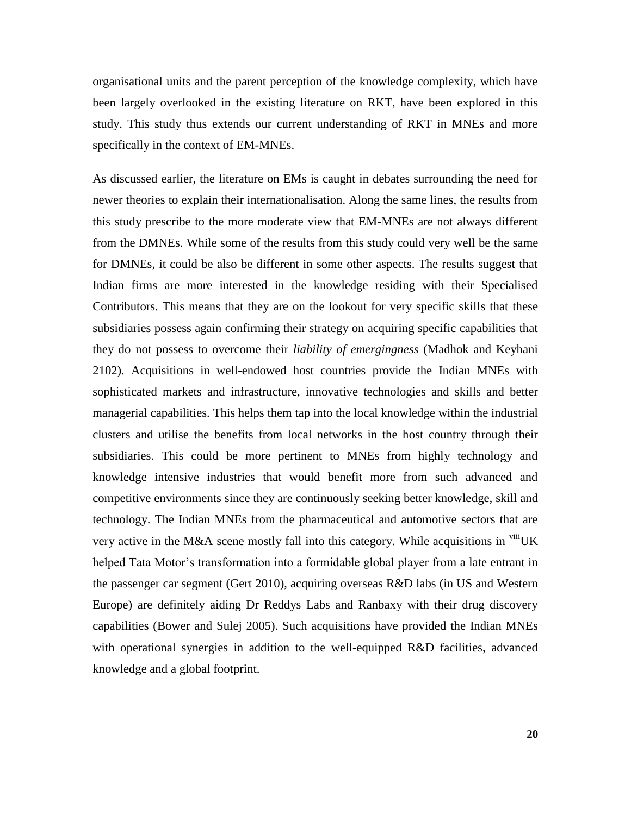organisational units and the parent perception of the knowledge complexity, which have been largely overlooked in the existing literature on RKT, have been explored in this study. This study thus extends our current understanding of RKT in MNEs and more specifically in the context of EM-MNEs.

As discussed earlier, the literature on EMs is caught in debates surrounding the need for newer theories to explain their internationalisation. Along the same lines, the results from this study prescribe to the more moderate view that EM-MNEs are not always different from the DMNEs. While some of the results from this study could very well be the same for DMNEs, it could be also be different in some other aspects. The results suggest that Indian firms are more interested in the knowledge residing with their Specialised Contributors. This means that they are on the lookout for very specific skills that these subsidiaries possess again confirming their strategy on acquiring specific capabilities that they do not possess to overcome their *liability of emergingness* (Madhok and Keyhani 2102). Acquisitions in well-endowed host countries provide the Indian MNEs with sophisticated markets and infrastructure, innovative technologies and skills and better managerial capabilities. This helps them tap into the local knowledge within the industrial clusters and utilise the benefits from local networks in the host country through their subsidiaries. This could be more pertinent to MNEs from highly technology and knowledge intensive industries that would benefit more from such advanced and competitive environments since they are continuously seeking better knowledge, skill and technology. The Indian MNEs from the pharmaceutical and automotive sectors that are very active in the M&A scene mostly fall into this category. While acquisitions in  $\frac{V}{I}$ UK helped Tata Motor's transformation into a formidable global player from a late entrant in the passenger car segment (Gert 2010), acquiring overseas R&D labs (in US and Western Europe) are definitely aiding Dr Reddys Labs and Ranbaxy with their drug discovery capabilities (Bower and Sulej 2005). Such acquisitions have provided the Indian MNEs with operational synergies in addition to the well-equipped R&D facilities, advanced knowledge and a global footprint.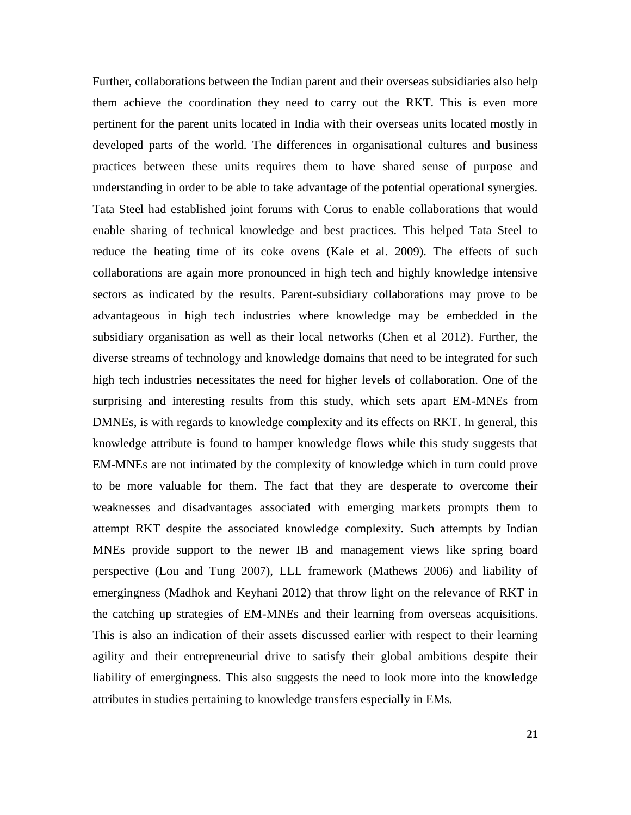Further, collaborations between the Indian parent and their overseas subsidiaries also help them achieve the coordination they need to carry out the RKT. This is even more pertinent for the parent units located in India with their overseas units located mostly in developed parts of the world. The differences in organisational cultures and business practices between these units requires them to have shared sense of purpose and understanding in order to be able to take advantage of the potential operational synergies. Tata Steel had established joint forums with Corus to enable collaborations that would enable sharing of technical knowledge and best practices. This helped Tata Steel to reduce the heating time of its coke ovens (Kale et al. 2009). The effects of such collaborations are again more pronounced in high tech and highly knowledge intensive sectors as indicated by the results. Parent-subsidiary collaborations may prove to be advantageous in high tech industries where knowledge may be embedded in the subsidiary organisation as well as their local networks (Chen et al 2012). Further, the diverse streams of technology and knowledge domains that need to be integrated for such high tech industries necessitates the need for higher levels of collaboration. One of the surprising and interesting results from this study, which sets apart EM-MNEs from DMNEs, is with regards to knowledge complexity and its effects on RKT. In general, this knowledge attribute is found to hamper knowledge flows while this study suggests that EM-MNEs are not intimated by the complexity of knowledge which in turn could prove to be more valuable for them. The fact that they are desperate to overcome their weaknesses and disadvantages associated with emerging markets prompts them to attempt RKT despite the associated knowledge complexity. Such attempts by Indian MNEs provide support to the newer IB and management views like spring board perspective (Lou and Tung 2007), LLL framework (Mathews 2006) and liability of emergingness (Madhok and Keyhani 2012) that throw light on the relevance of RKT in the catching up strategies of EM-MNEs and their learning from overseas acquisitions. This is also an indication of their assets discussed earlier with respect to their learning agility and their entrepreneurial drive to satisfy their global ambitions despite their liability of emergingness. This also suggests the need to look more into the knowledge attributes in studies pertaining to knowledge transfers especially in EMs.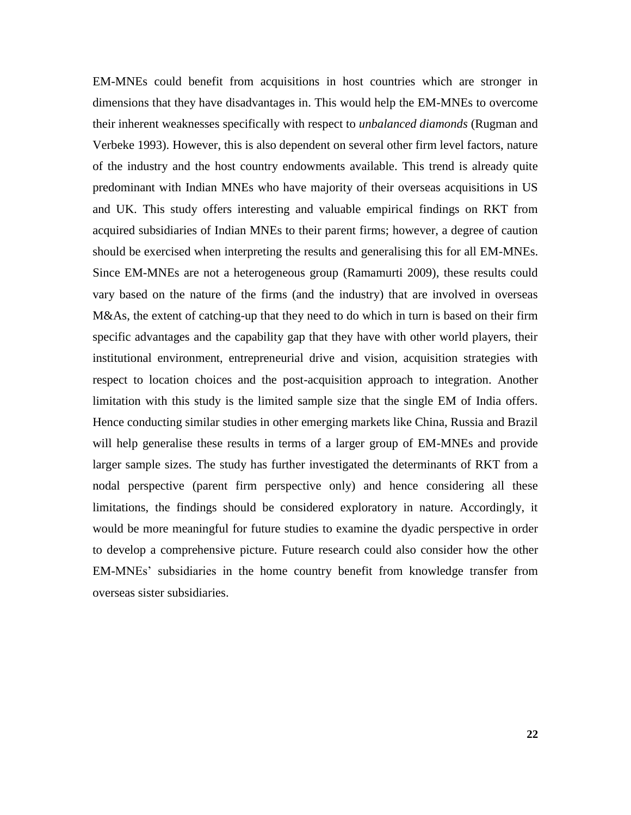EM-MNEs could benefit from acquisitions in host countries which are stronger in dimensions that they have disadvantages in. This would help the EM-MNEs to overcome their inherent weaknesses specifically with respect to *unbalanced diamonds* (Rugman and Verbeke 1993). However, this is also dependent on several other firm level factors, nature of the industry and the host country endowments available. This trend is already quite predominant with Indian MNEs who have majority of their overseas acquisitions in US and UK. This study offers interesting and valuable empirical findings on RKT from acquired subsidiaries of Indian MNEs to their parent firms; however, a degree of caution should be exercised when interpreting the results and generalising this for all EM-MNEs. Since EM-MNEs are not a heterogeneous group (Ramamurti 2009), these results could vary based on the nature of the firms (and the industry) that are involved in overseas M&As, the extent of catching-up that they need to do which in turn is based on their firm specific advantages and the capability gap that they have with other world players, their institutional environment, entrepreneurial drive and vision, acquisition strategies with respect to location choices and the post-acquisition approach to integration. Another limitation with this study is the limited sample size that the single EM of India offers. Hence conducting similar studies in other emerging markets like China, Russia and Brazil will help generalise these results in terms of a larger group of EM-MNEs and provide larger sample sizes. The study has further investigated the determinants of RKT from a nodal perspective (parent firm perspective only) and hence considering all these limitations, the findings should be considered exploratory in nature. Accordingly, it would be more meaningful for future studies to examine the dyadic perspective in order to develop a comprehensive picture. Future research could also consider how the other EM-MNEs' subsidiaries in the home country benefit from knowledge transfer from overseas sister subsidiaries.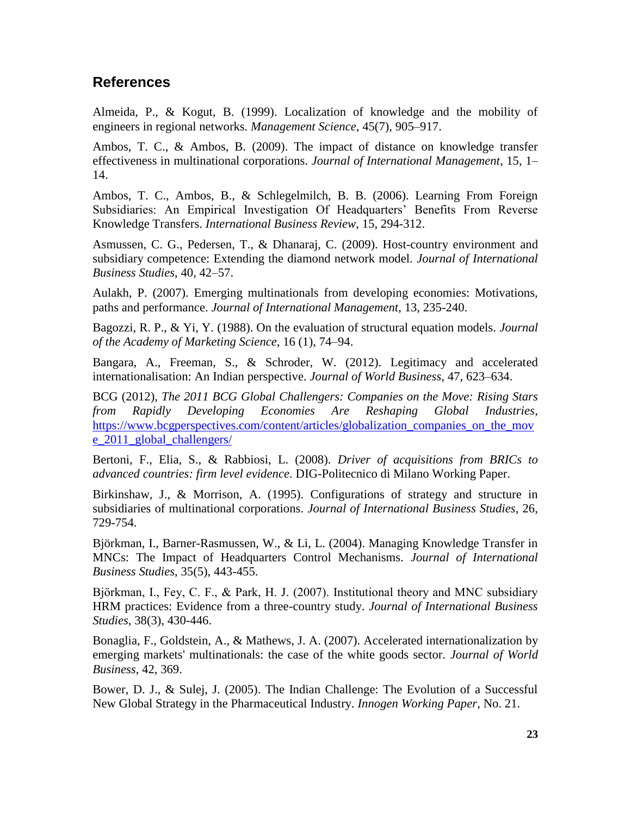## **References**

Almeida, P., & Kogut, B. (1999). Localization of knowledge and the mobility of engineers in regional networks. *Management Science*, 45(7), 905–917.

Ambos, T. C., & Ambos, B. (2009). The impact of distance on knowledge transfer effectiveness in multinational corporations. *Journal of International Management*, 15, 1– 14.

Ambos, T. C., Ambos, B., & Schlegelmilch, B. B. (2006). Learning From Foreign Subsidiaries: An Empirical Investigation Of Headquarters' Benefits From Reverse Knowledge Transfers. *International Business Review*, 15, 294-312.

Asmussen, C. G., Pedersen, T., & Dhanaraj, C. (2009). Host-country environment and subsidiary competence: Extending the diamond network model. *Journal of International Business Studies*, 40, 42–57.

Aulakh, P. (2007). Emerging multinationals from developing economies: Motivations, paths and performance. *Journal of International Management*, 13, 235-240.

Bagozzi, R. P., & Yi, Y. (1988). On the evaluation of structural equation models. *Journal of the Academy of Marketing Science*, 16 (1), 74–94.

Bangara, A., Freeman, S., & Schroder, W. (2012). Legitimacy and accelerated internationalisation: An Indian perspective. *Journal of World Business,* 47, 623–634.

BCG (2012), *The 2011 BCG Global Challengers: Companies on the Move: Rising Stars from Rapidly Developing Economies Are Reshaping Global Industries*, [https://www.bcgperspectives.com/content/articles/globalization\\_companies\\_on\\_the\\_mov](https://www.bcgperspectives.com/content/articles/globalization_companies_on_the_move_2011_global_challengers/) [e\\_2011\\_global\\_challengers/](https://www.bcgperspectives.com/content/articles/globalization_companies_on_the_move_2011_global_challengers/)

Bertoni, F., Elia, S., & Rabbiosi, L. (2008). *Driver of acquisitions from BRICs to advanced countries: firm level evidence*. DIG-Politecnico di Milano Working Paper.

Birkinshaw, J., & Morrison, A. (1995). Configurations of strategy and structure in subsidiaries of multinational corporations. *Journal of International Business Studies*, 26, 729-754.

Björkman, I., Barner-Rasmussen, W., & Li, L. (2004). Managing Knowledge Transfer in MNCs: The Impact of Headquarters Control Mechanisms. *Journal of International Business Studies*, 35(5), 443-455.

Björkman, I., Fey, C. F., & Park, H. J. (2007). Institutional theory and MNC subsidiary HRM practices: Evidence from a three-country study. *Journal of International Business Studies*, 38(3), 430-446.

Bonaglia, F., Goldstein, A., & Mathews, J. A. (2007). Accelerated internationalization by emerging markets' multinationals: the case of the white goods sector. *Journal of World Business*, 42, 369.

Bower, D. J., & Sulej, J. (2005). The Indian Challenge: The Evolution of a Successful New Global Strategy in the Pharmaceutical Industry. *Innogen Working Paper,* No. 21.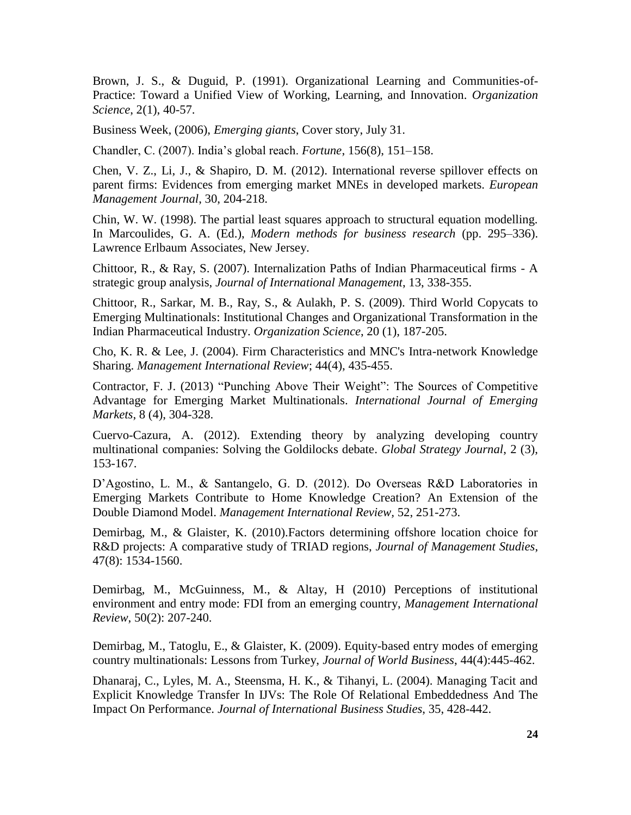Brown, J. S., & Duguid, P. (1991). Organizational Learning and Communities-of-Practice: Toward a Unified View of Working, Learning, and Innovation. *Organization Science*, 2(1), 40-57.

Business Week, (2006), *Emerging giants*, Cover story, July 31.

Chandler, C. (2007). India's global reach. *Fortune*, 156(8), 151–158.

Chen, V. Z., Li, J., & Shapiro, D. M. (2012). International reverse spillover effects on parent firms: Evidences from emerging market MNEs in developed markets. *European Management Journal*, 30, 204-218.

Chin, W. W. (1998). The partial least squares approach to structural equation modelling. In Marcoulides, G. A. (Ed.), *Modern methods for business research* (pp. 295–336). Lawrence Erlbaum Associates, New Jersey.

Chittoor, R., & Ray, S. (2007). Internalization Paths of Indian Pharmaceutical firms - A strategic group analysis, *Journal of International Management*, 13, 338-355.

Chittoor, R., Sarkar, M. B., Ray, S., & Aulakh, P. S. (2009). Third World Copycats to Emerging Multinationals: Institutional Changes and Organizational Transformation in the Indian Pharmaceutical Industry. *Organization Science*, 20 (1), 187-205.

Cho, K. R. & Lee, J. (2004). Firm Characteristics and MNC's Intra-network Knowledge Sharing. *Management International Review*; 44(4), 435-455.

Contractor, F. J. (2013) "Punching Above Their Weight": The Sources of Competitive Advantage for Emerging Market Multinationals. *International Journal of Emerging Markets*, 8 (4), 304-328.

Cuervo-Cazura, A. (2012). Extending theory by analyzing developing country multinational companies: Solving the Goldilocks debate. *Global Strategy Journal*, 2 (3), 153-167.

D'Agostino, L. M., & Santangelo, G. D. (2012). Do Overseas R&D Laboratories in Emerging Markets Contribute to Home Knowledge Creation? An Extension of the Double Diamond Model. *Management International Review,* 52, 251-273.

Demirbag, M., & Glaister, K. (2010).Factors determining offshore location choice for R&D projects: A comparative study of TRIAD regions, *Journal of Management Studies*, 47(8): 1534-1560.

Demirbag, M., McGuinness, M., & Altay, H (2010) Perceptions of institutional environment and entry mode: FDI from an emerging country, *Management International Review*, 50(2): 207-240.

Demirbag, M., Tatoglu, E., & Glaister, K. (2009). Equity-based entry modes of emerging country multinationals: Lessons from Turkey, *Journal of World Business*, 44(4):445-462.

Dhanaraj, C., Lyles, M. A., Steensma, H. K., & Tihanyi, L. (2004). Managing Tacit and Explicit Knowledge Transfer In IJVs: The Role Of Relational Embeddedness And The Impact On Performance. *Journal of International Business Studies*, 35, 428-442.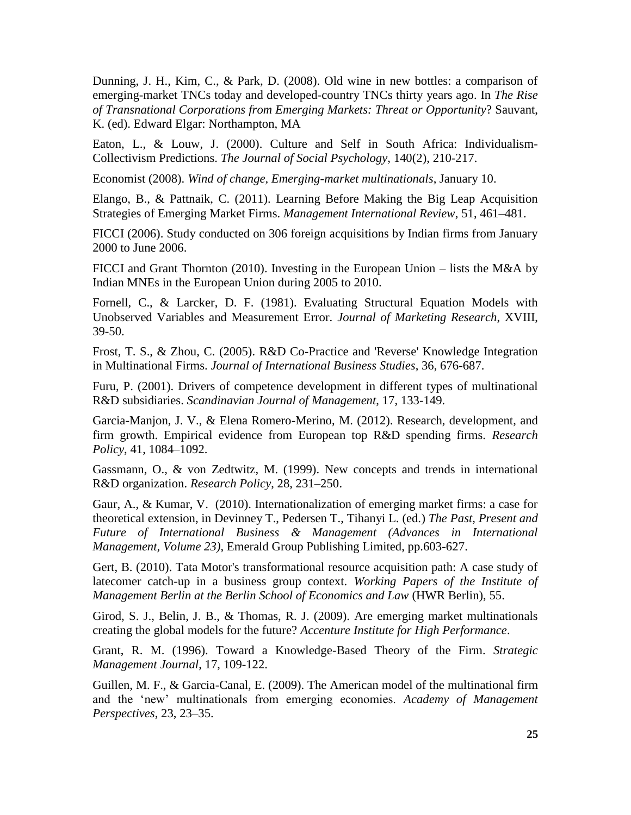Dunning, J. H., Kim, C., & Park, D. (2008). Old wine in new bottles: a comparison of emerging-market TNCs today and developed-country TNCs thirty years ago. In *The Rise of Transnational Corporations from Emerging Markets: Threat or Opportunity*? Sauvant, K. (ed). Edward Elgar: Northampton, MA

Eaton, L., & Louw, J. (2000). Culture and Self in South Africa: Individualism-Collectivism Predictions. *The Journal of Social Psychology*, 140(2), 210-217.

Economist (2008). *Wind of change, Emerging-market multinationals*, January 10.

Elango, B., & Pattnaik, C. (2011). Learning Before Making the Big Leap Acquisition Strategies of Emerging Market Firms. *Management International Review*, 51, 461–481.

FICCI (2006). Study conducted on 306 foreign acquisitions by Indian firms from January 2000 to June 2006.

FICCI and Grant Thornton (2010). Investing in the European Union – lists the M&A by Indian MNEs in the European Union during 2005 to 2010.

Fornell, C., & Larcker, D. F. (1981). Evaluating Structural Equation Models with Unobserved Variables and Measurement Error. *Journal of Marketing Research*, XVIII, 39-50.

Frost, T. S., & Zhou, C. (2005). R&D Co-Practice and 'Reverse' Knowledge Integration in Multinational Firms. *Journal of International Business Studies*, 36, 676-687.

Furu, P. (2001). Drivers of competence development in different types of multinational R&D subsidiaries. *Scandinavian Journal of Management*, 17, 133-149.

Garcia-Manjon, J. V., & Elena Romero-Merino, M. (2012). Research, development, and firm growth. Empirical evidence from European top R&D spending firms. *Research Policy*, 41, 1084–1092.

Gassmann, O., & von Zedtwitz, M. (1999). New concepts and trends in international R&D organization. *Research Policy*, 28, 231–250.

Gaur, A., & Kumar, V. (2010). Internationalization of emerging market firms: a case for theoretical extension, in Devinney T., Pedersen T., Tihanyi L. (ed.) *The Past, Present and Future of International Business & Management (Advances in International Management, Volume 23)*, Emerald Group Publishing Limited, pp.603-627.

Gert, B. (2010). Tata Motor's transformational resource acquisition path: A case study of latecomer catch-up in a business group context. *Working Papers of the Institute of Management Berlin at the Berlin School of Economics and Law* (HWR Berlin), 55.

Girod, S. J., Belin, J. B., & Thomas, R. J. (2009). Are emerging market multinationals creating the global models for the future? *Accenture Institute for High Performance*.

Grant, R. M. (1996). Toward a Knowledge-Based Theory of the Firm. *Strategic Management Journal*, 17, 109-122.

Guillen, M. F., & Garcia-Canal, E. (2009). The American model of the multinational firm and the 'new' multinationals from emerging economies. *Academy of Management Perspectives*, 23, 23–35.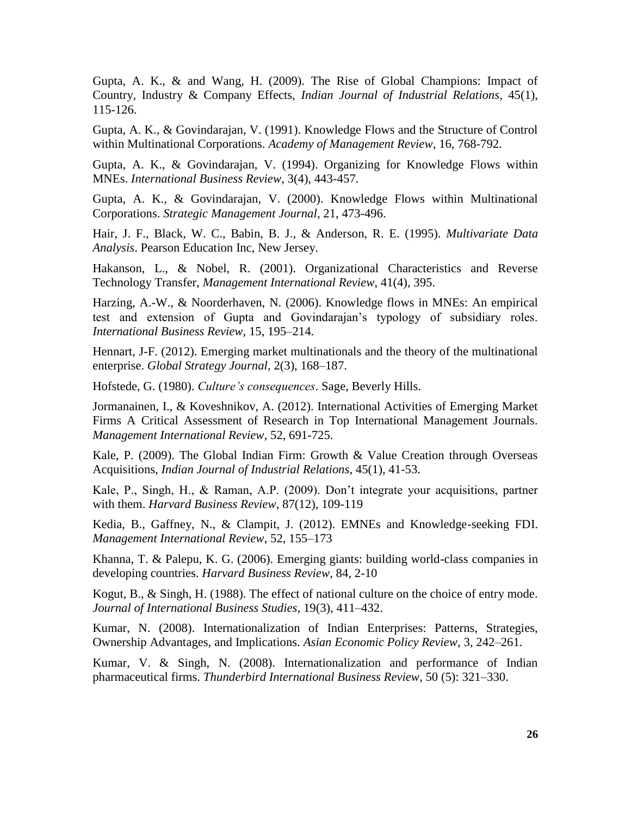Gupta, A. K., & and Wang, H. (2009). The Rise of Global Champions: Impact of Country, Industry & Company Effects, *Indian Journal of Industrial Relations,* 45(1), 115-126.

Gupta, A. K., & Govindarajan, V. (1991). Knowledge Flows and the Structure of Control within Multinational Corporations. *Academy of Management Review*, 16, 768-792.

Gupta, A. K., & Govindarajan, V. (1994). Organizing for Knowledge Flows within MNEs. *International Business Review*, 3(4), 443-457.

Gupta, A. K., & Govindarajan, V. (2000). Knowledge Flows within Multinational Corporations. *Strategic Management Journal*, 21, 473-496.

Hair, J. F., Black, W. C., Babin, B. J., & Anderson, R. E. (1995). *Multivariate Data Analysis*. Pearson Education Inc, New Jersey.

Hakanson, L., & Nobel, R. (2001). Organizational Characteristics and Reverse Technology Transfer, *Management International Review*, 41(4), 395.

Harzing, A.-W., & Noorderhaven, N. (2006). Knowledge flows in MNEs: An empirical test and extension of Gupta and Govindarajan's typology of subsidiary roles. *International Business Review*, 15, 195–214.

Hennart, J-F. (2012). [Emerging market multinationals and the theory of the multinational](http://onlinelibrary.wiley.com/doi/10.1111/j.2042-5805.2012.01039.x/abstract)  [enterprise.](http://onlinelibrary.wiley.com/doi/10.1111/j.2042-5805.2012.01039.x/abstract) *Global Strategy Journal*, 2(3), 168–187.

Hofstede, G. (1980). *Culture's consequences*. Sage, Beverly Hills.

Jormanainen, I., & Koveshnikov, A. (2012). International Activities of Emerging Market Firms A Critical Assessment of Research in Top International Management Journals. *Management International Review*, 52, 691-725.

Kale, P. (2009). The Global Indian Firm: Growth & Value Creation through Overseas Acquisitions, *Indian Journal of Industrial Relations*, 45(1), 41-53.

Kale, P., Singh, H., & Raman, A.P. (2009). Don't integrate your acquisitions, partner with them. *Harvard Business Review*, 87(12), 109-119

Kedia, B., Gaffney, N., & Clampit, J. (2012). EMNEs and Knowledge-seeking FDI. *Management International Review*, 52, 155–173

Khanna, T. & Palepu, K. G. (2006). Emerging giants: building world-class companies in developing countries. *Harvard Business Review*, 84, 2-10

Kogut, B., & Singh, H. (1988). The effect of national culture on the choice of entry mode. *Journal of International Business Studies*, 19(3), 411–432.

Kumar, N. (2008). Internationalization of Indian Enterprises: Patterns, Strategies, Ownership Advantages, and Implications. *Asian Economic Policy Review*, 3, 242–261.

Kumar, V. & Singh, N. (2008). Internationalization and performance of Indian pharmaceutical firms. *Thunderbird International Business Review*, 50 (5): 321–330.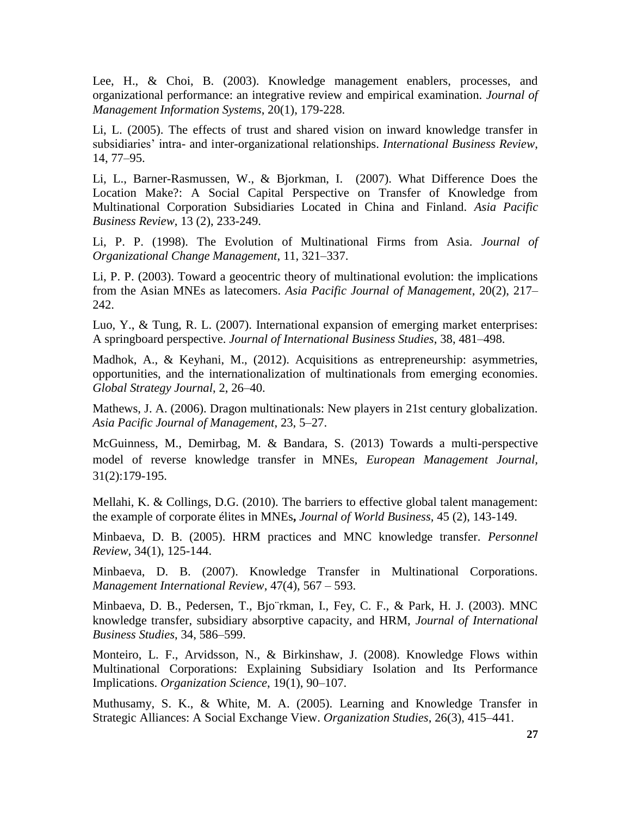Lee, H., & Choi, B. (2003). Knowledge management enablers, processes, and organizational performance: an integrative review and empirical examination. *Journal of Management Information Systems*, 20(1), 179-228.

Li, L. (2005). The effects of trust and shared vision on inward knowledge transfer in subsidiaries' intra- and inter-organizational relationships. *International Business Review*, 14, 77–95.

Li, L., Barner-Rasmussen, W., & Bjorkman, I. (2007). What Difference Does the Location Make?: A Social Capital Perspective on Transfer of Knowledge from Multinational Corporation Subsidiaries Located in China and Finland. *Asia Pacific Business Review*, 13 (2), 233-249.

Li, P. P. (1998). The Evolution of Multinational Firms from Asia. *Journal of Organizational Change Management*, 11, 321–337.

Li, P. P. (2003). Toward a geocentric theory of multinational evolution: the implications from the Asian MNEs as latecomers. *Asia Pacific Journal of Management*, 20(2), 217– 242.

Luo, Y., & Tung, R. L. (2007). International expansion of emerging market enterprises: A springboard perspective. *Journal of International Business Studies*, 38, 481–498.

Madhok, A., & Keyhani, M., (2012). Acquisitions as entrepreneurship: asymmetries, opportunities, and the internationalization of multinationals from emerging economies. *Global Strategy Journal*, 2, 26–40.

Mathews, J. A. (2006). Dragon multinationals: New players in 21st century globalization. *Asia Pacific Journal of Management*, 23, 5–27.

McGuinness, M., Demirbag, M. & Bandara, S. (2013) Towards a multi-perspective model of reverse knowledge transfer in MNEs, *European Management Journal,*  31(2):179-195.

Mellahi, K. & Collings, D.G. (2010). The barriers to effective global talent management: the example of corporate élites in MNEs**,** *Journal of World Business,* 45 (2), 143-149.

Minbaeva, D. B. (2005). HRM practices and MNC knowledge transfer. *Personnel Review*, 34(1), 125-144.

Minbaeva, D. B. (2007). Knowledge Transfer in Multinational Corporations. *Management International Review*, 47(4), 567 – 593.

Minbaeva, D. B., Pedersen, T., Bjo¨rkman, I., Fey, C. F., & Park, H. J. (2003). MNC knowledge transfer, subsidiary absorptive capacity, and HRM, *Journal of International Business Studies*, 34, 586–599.

Monteiro, L. F., Arvidsson, N., & Birkinshaw, J. (2008). Knowledge Flows within Multinational Corporations: Explaining Subsidiary Isolation and Its Performance Implications. *Organization Science*, 19(1), 90–107.

Muthusamy, S. K., & White, M. A. (2005). Learning and Knowledge Transfer in Strategic Alliances: A Social Exchange View. *Organization Studies*, 26(3), 415–441.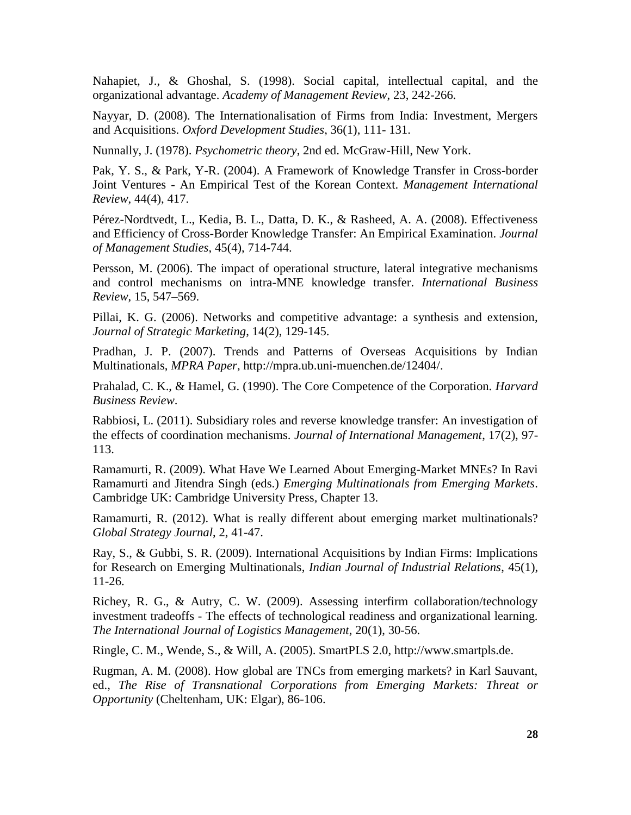[Nahapiet,](http://www.theorymaps.com/sources?author=Nahapiet) J., & [Ghoshal,](http://www.theorymaps.com/sources?author=Ghoshal) S. (1998). Social capital, intellectual capital, and the organizational advantage. *Academy of Management Review*, 23, 242-266.

Nayyar, D. (2008). The Internationalisation of Firms from India: Investment, Mergers and Acquisitions. *Oxford Development Studies*, 36(1), 111- 131.

Nunnally, J. (1978). *Psychometric theory*, 2nd ed. McGraw-Hill, New York.

Pak, Y. S., & Park, Y-R. (2004). A Framework of Knowledge Transfer in Cross-border Joint Ventures - An Empirical Test of the Korean Context. *Management International Review*, 44(4), 417.

Pérez-Nordtvedt, L., Kedia, B. L., Datta, D. K., & Rasheed, A. A. (2008). Effectiveness and Efficiency of Cross-Border Knowledge Transfer: An Empirical Examination. *Journal of Management Studies*, 45(4), 714-744.

Persson, M. (2006). The impact of operational structure, lateral integrative mechanisms and control mechanisms on intra-MNE knowledge transfer. *International Business Review*, 15, 547–569.

Pillai, K. G. (2006). Networks and competitive advantage: a synthesis and extension, *Journal of Strategic Marketing*, 14(2), 129-145.

Pradhan, J. P. (2007). Trends and Patterns of Overseas Acquisitions by Indian Multinationals, *MPRA Paper*, [http://mpra.ub.uni-muenchen.de/12404/.](http://mpra.ub.uni-muenchen.de/12404/)

Prahalad, C. K., & Hamel, G. (1990). The Core Competence of the Corporation. *Harvard Business Review*.

Rabbiosi, L. (2011). Subsidiary roles and reverse knowledge transfer: An investigation of the effects of coordination mechanisms. *Journal of International Management*, 17(2), 97- 113.

Ramamurti, R. (2009). What Have We Learned About Emerging-Market MNEs? In Ravi Ramamurti and Jitendra Singh (eds.) *Emerging Multinationals from Emerging Markets*. Cambridge UK: Cambridge University Press, Chapter 13.

Ramamurti, R. (2012). What is really different about emerging market multinationals? *Global Strategy Journal*, 2, 41-47.

Ray, S., & Gubbi, S. R. (2009). International Acquisitions by Indian Firms: Implications for Research on Emerging Multinationals, *Indian Journal of Industrial Relations*, 45(1), 11-26.

Richey, R. G., & Autry, C. W. (2009). Assessing interfirm collaboration/technology investment tradeoffs - The effects of technological readiness and organizational learning. *The International Journal of Logistics Management*, 20(1), 30-56.

Ringle, C. M., Wende, S., & Will, A. (2005). SmartPLS 2.0, http:/[/www.smartpls.de.](http://www.smartpls.de./)

Rugman, A. M. (2008). How global are TNCs from emerging markets? in Karl Sauvant, ed., *The Rise of Transnational Corporations from Emerging Markets: Threat or Opportunity* (Cheltenham, UK: Elgar), 86-106.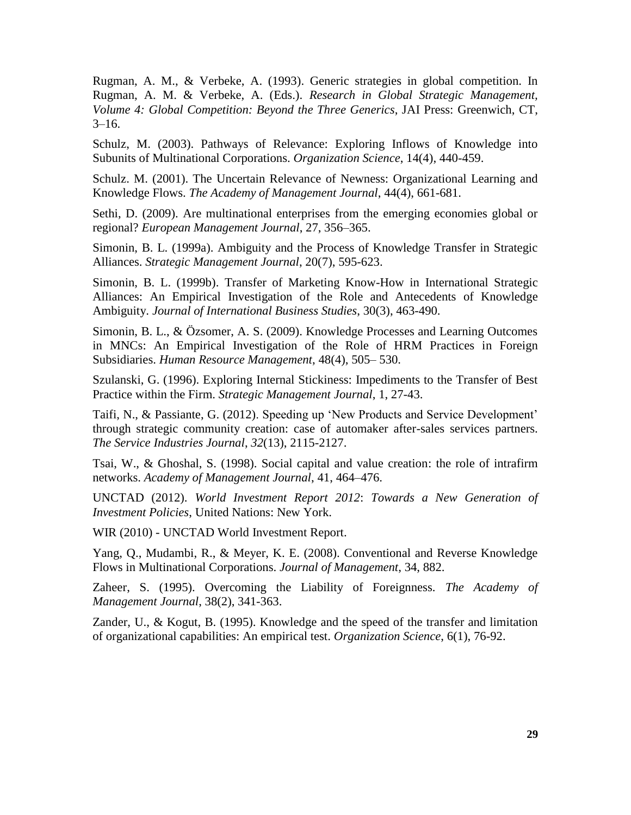Rugman, A. M., & Verbeke, A. (1993). Generic strategies in global competition. In Rugman, A. M. & Verbeke, A. (Eds.). *Research in Global Strategic Management, Volume 4: Global Competition: Beyond the Three Generics*, JAI Press: Greenwich, CT,  $3-16.$ 

Schulz, M. (2003). Pathways of Relevance: Exploring Inflows of Knowledge into Subunits of Multinational Corporations. *Organization Science*, 14(4), 440-459.

Schulz. M. (2001). The Uncertain Relevance of Newness: Organizational Learning and Knowledge Flows. *The Academy of Management Journal*, 44(4), 661-681.

Sethi, D. (2009). Are multinational enterprises from the emerging economies global or regional? *European Management Journal*, 27, 356–365.

Simonin, B. L. (1999a). Ambiguity and the Process of Knowledge Transfer in Strategic Alliances. *Strategic Management Journal*, 20(7), 595-623.

Simonin, B. L. (1999b). Transfer of Marketing Know-How in International Strategic Alliances: An Empirical Investigation of the Role and Antecedents of Knowledge Ambiguity. *Journal of International Business Studies*, 30(3), 463-490.

Simonin, B. L., & Özsomer, A. S. (2009). Knowledge Processes and Learning Outcomes in MNCs: An Empirical Investigation of the Role of HRM Practices in Foreign Subsidiaries. *Human Resource Management*, 48(4), 505– 530.

Szulanski, G. (1996). Exploring Internal Stickiness: Impediments to the Transfer of Best Practice within the Firm. *Strategic Management Journal*, 1, 27-43.

Taifi, N., & Passiante, G. (2012). Speeding up 'New Products and Service Development' through strategic community creation: case of automaker after-sales services partners. *The Service Industries Journal*, *32*(13), 2115-2127.

Tsai, W., & Ghoshal, S. (1998). Social capital and value creation: the role of intrafirm networks. *Academy of Management Journal*, 41, 464–476.

UNCTAD (2012). *World Investment Report 2012*: *Towards a New Generation of Investment Policies*, United Nations: New York.

WIR (2010) - UNCTAD World Investment Report.

Yang, Q., Mudambi, R., & Meyer, K. E. (2008). Conventional and Reverse Knowledge Flows in Multinational Corporations. *Journal of Management*, 34, 882.

Zaheer, S. (1995). Overcoming the Liability of Foreignness*. The Academy of Management Journal*, 38(2), 341-363.

Zander, U., & Kogut, B. (1995). Knowledge and the speed of the transfer and limitation of organizational capabilities: An empirical test. *Organization Science*, 6(1), 76-92.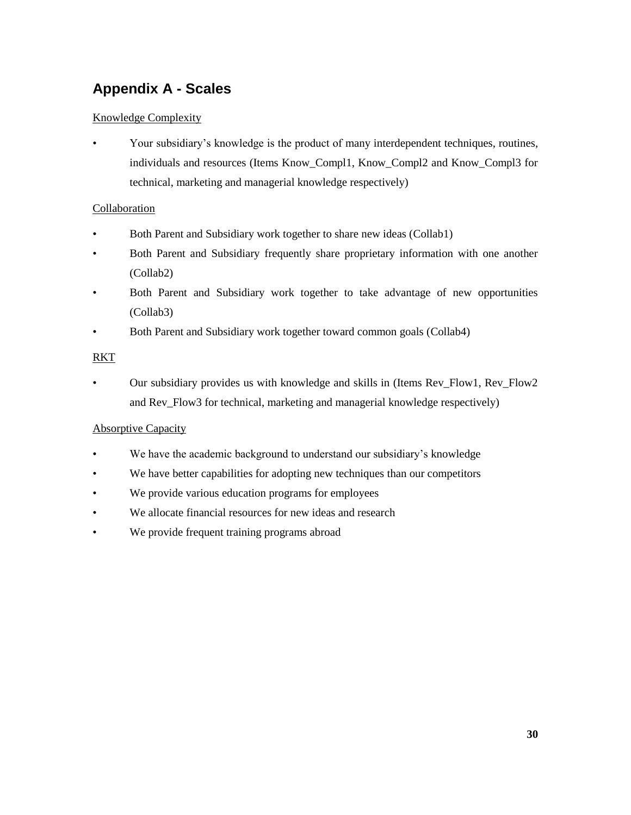# **Appendix A - Scales**

#### Knowledge Complexity

• Your subsidiary's knowledge is the product of many interdependent techniques, routines, individuals and resources (Items Know\_Compl1, Know\_Compl2 and Know\_Compl3 for technical, marketing and managerial knowledge respectively)

#### Collaboration

- Both Parent and Subsidiary work together to share new ideas (Collab1)
- Both Parent and Subsidiary frequently share proprietary information with one another (Collab2)
- Both Parent and Subsidiary work together to take advantage of new opportunities (Collab3)
- Both Parent and Subsidiary work together toward common goals (Collab4)

#### RKT

• Our subsidiary provides us with knowledge and skills in (Items Rev\_Flow1, Rev\_Flow2 and Rev\_Flow3 for technical, marketing and managerial knowledge respectively)

#### Absorptive Capacity

- We have the academic background to understand our subsidiary's knowledge
- We have better capabilities for adopting new techniques than our competitors
- We provide various education programs for employees
- We allocate financial resources for new ideas and research
- We provide frequent training programs abroad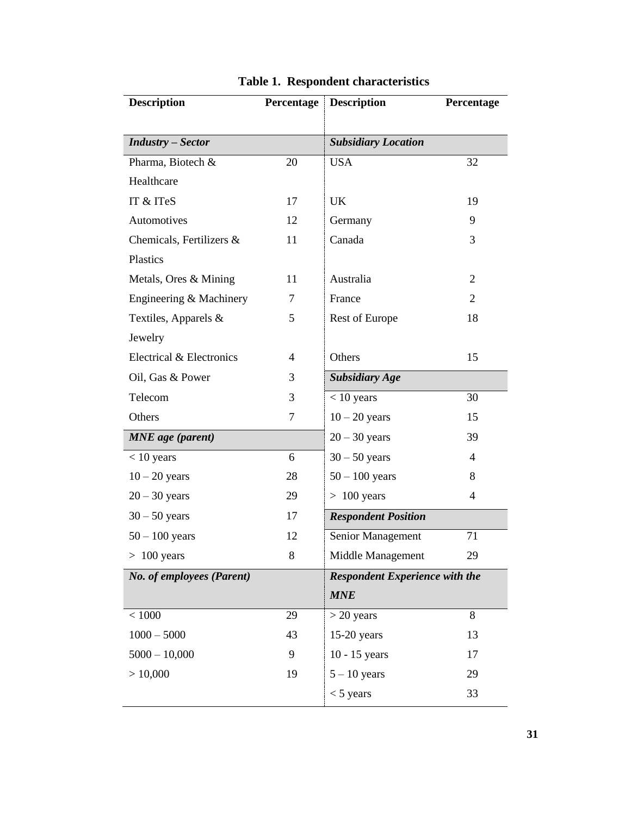| <b>Description</b>        | Percentage   | <b>Description</b>                    | Percentage     |  |
|---------------------------|--------------|---------------------------------------|----------------|--|
|                           |              |                                       |                |  |
| <b>Industry</b> – Sector  |              | <b>Subsidiary Location</b>            |                |  |
| Pharma, Biotech &         | 20           | <b>USA</b>                            | 32             |  |
| Healthcare                |              |                                       |                |  |
| IT & ITeS                 | 17           | UK                                    | 19             |  |
| Automotives               | 12           | Germany                               | 9              |  |
| Chemicals, Fertilizers &  | 11           | Canada                                | 3              |  |
| Plastics                  |              |                                       |                |  |
| Metals, Ores & Mining     | 11           | Australia                             | $\overline{2}$ |  |
| Engineering & Machinery   | 7            | France                                | $\overline{2}$ |  |
| Textiles, Apparels &      | 5            | Rest of Europe                        | 18             |  |
| Jewelry                   |              |                                       |                |  |
| Electrical & Electronics  | 4            | Others                                | 15             |  |
| Oil, Gas & Power          | 3            | <b>Subsidiary Age</b>                 |                |  |
| Telecom                   | 3            | $< 10$ years                          | 30             |  |
| Others                    | $\tau$       | $10 - 20$ years                       | 15             |  |
| <b>MNE</b> age (parent)   |              | $20 - 30$ years                       | 39             |  |
| $< 10$ years              | 6            | $30 - 50$ years                       | $\overline{4}$ |  |
| $10 - 20$ years           | 28           | $50 - 100$ years                      | 8              |  |
| $20 - 30$ years           | 29           | $>100$ years                          | $\overline{4}$ |  |
| $30 - 50$ years           | 17           | <b>Respondent Position</b>            |                |  |
| $50 - 100$ years          | 12           | Senior Management                     | 71             |  |
| $>100$ years              | $\mathbf{8}$ | Middle Management                     | 29             |  |
| No. of employees (Parent) |              | <b>Respondent Experience with the</b> |                |  |
|                           |              | <b>MNE</b>                            |                |  |
| < 1000                    | 29           | $>$ 20 years                          | 8              |  |
| $1000 - 5000$             | 43           | $15-20$ years                         | 13             |  |
| $5000 - 10,000$           | 9            | $10 - 15$ years                       | 17             |  |
| > 10,000                  | 19           | $5 - 10$ years                        | 29             |  |
|                           |              | $<$ 5 years                           | 33             |  |

**Table 1. Respondent characteristics**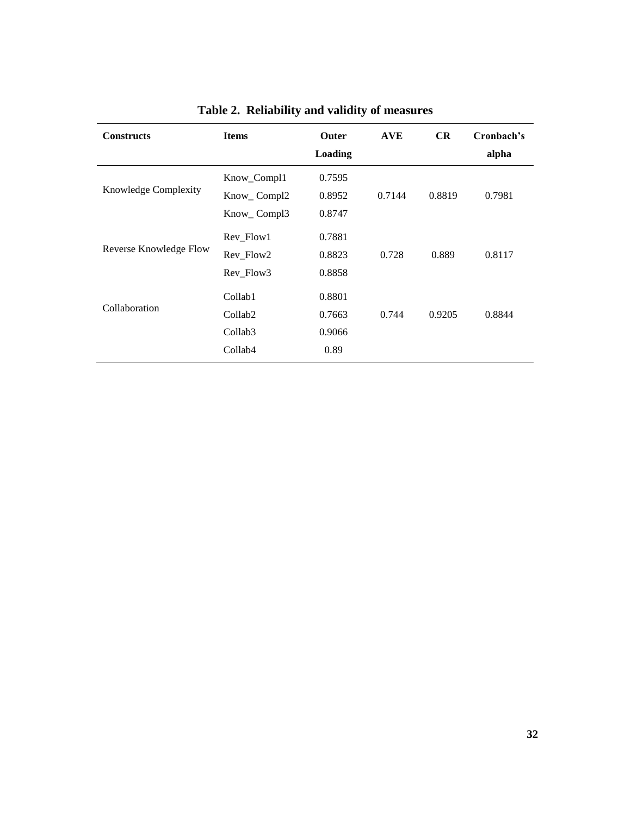|                        |                                                       | Outer<br><b>Loading</b>    | <b>AVE</b> | CR     | Cronbach's<br>alpha |
|------------------------|-------------------------------------------------------|----------------------------|------------|--------|---------------------|
| Knowledge Complexity   | Know_Compl1<br>Know_Compl2<br>Know_Compl3             | 0.7595<br>0.8952<br>0.8747 | 0.7144     | 0.8819 | 0.7981              |
| Reverse Knowledge Flow | Rev_Flow1<br>Rev_Flow2<br>Rev_Flow3                   | 0.7881<br>0.8823<br>0.8858 | 0.728      | 0.889  | 0.8117              |
| Collaboration          | Collab1<br>Collab <sub>2</sub><br>Collab <sub>3</sub> | 0.8801<br>0.7663<br>0.9066 | 0.744      | 0.9205 | 0.8844              |
|                        | Collab <sub>4</sub>                                   | 0.89                       |            |        |                     |

# **Table 2. Reliability and validity of measures**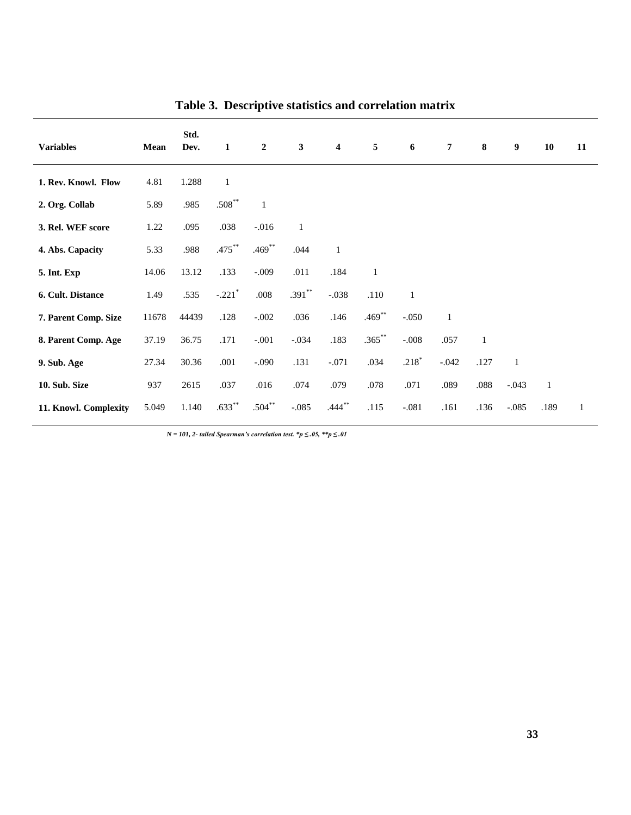| <b>Variables</b>      | Mean  | Std.<br>Dev. | 1                    | $\overline{2}$ | $\mathbf{3}$ | $\overline{4}$ | 5            | 6            | $\overline{7}$ | 8            | 9            | 10           | 11           |
|-----------------------|-------|--------------|----------------------|----------------|--------------|----------------|--------------|--------------|----------------|--------------|--------------|--------------|--------------|
| 1. Rev. Knowl. Flow   | 4.81  | 1.288        | $\mathbf{1}$         |                |              |                |              |              |                |              |              |              |              |
| 2. Org. Collab        | 5.89  | .985         | $.508***$            | $\mathbf{1}$   |              |                |              |              |                |              |              |              |              |
| 3. Rel. WEF score     | 1.22  | .095         | .038                 | $-0.016$       | $\mathbf{1}$ |                |              |              |                |              |              |              |              |
| 4. Abs. Capacity      | 5.33  | .988         | $.475***$            | $.469**$       | .044         | $\mathbf{1}$   |              |              |                |              |              |              |              |
| 5. Int. Exp           | 14.06 | 13.12        | .133                 | $-.009$        | .011         | .184           | $\mathbf{1}$ |              |                |              |              |              |              |
| 6. Cult. Distance     | 1.49  | .535         | $-.221$ <sup>*</sup> | $.008$         | $.391**$     | $-.038$        | .110         | $\mathbf{1}$ |                |              |              |              |              |
| 7. Parent Comp. Size  | 11678 | 44439        | .128                 | $-.002$        | .036         | .146           | $.469***$    | $-.050$      | $\mathbf{1}$   |              |              |              |              |
| 8. Parent Comp. Age   | 37.19 | 36.75        | .171                 | $-.001$        | $-.034$      | .183           | $.365***$    | $-.008$      | .057           | $\mathbf{1}$ |              |              |              |
| 9. Sub. Age           | 27.34 | 30.36        | .001                 | $-.090$        | .131         | $-.071$        | .034         | $.218*$      | $-.042$        | .127         | $\mathbf{1}$ |              |              |
| 10. Sub. Size         | 937   | 2615         | .037                 | .016           | .074         | .079           | .078         | .071         | .089           | .088         | $-.043$      | $\mathbf{1}$ |              |
| 11. Knowl. Complexity | 5.049 | 1.140        | $.633***$            | $.504***$      | $-.085$      | $.444***$      | .115         | $-.081$      | .161           | .136         | $-.085$      | .189         | $\mathbf{1}$ |

**Table 3. Descriptive statistics and correlation matrix**

*N = 101, 2- tailed Spearman's correlation test. \*p ≤ .05, \*\*p ≤ .01*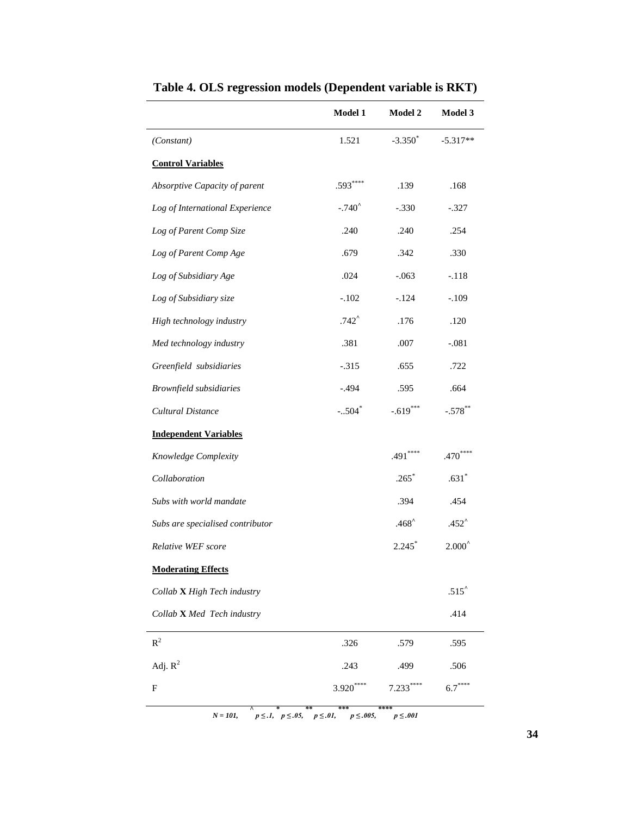|                                  | <b>Model 1</b>      | Model 2        | Model 3         |
|----------------------------------|---------------------|----------------|-----------------|
| (Constant)                       | 1.521               | $-3.350^*$     | $-5.317**$      |
| <b>Control Variables</b>         |                     |                |                 |
| Absorptive Capacity of parent    | $.593***$           | .139           | .168            |
| Log of International Experience  | $-.740^$            | $-.330$        | $-.327$         |
| Log of Parent Comp Size          | .240                | .240           | .254            |
| Log of Parent Comp Age           | .679                | .342           | .330            |
| Log of Subsidiary Age            | .024                | $-.063$        | $-.118$         |
| Log of Subsidiary size           | $-.102$             | $-.124$        | $-.109$         |
| High technology industry         | $.742$ <sup>^</sup> | .176           | .120            |
| Med technology industry          | .381                | .007           | $-.081$         |
| Greenfield subsidiaries          | $-.315$             | .655           | .722            |
| Brownfield subsidiaries          | $-.494$             | .595           | .664            |
| Cultural Distance                | $-.504*$            | $-.619***$     | $-.578$ **      |
| <b>Independent Variables</b>     |                     |                |                 |
| Knowledge Complexity             |                     | $.491***$      | $.470***$       |
| Collaboration                    |                     | $.265*$        | $.631*$         |
| Subs with world mandate          |                     | .394           | .454            |
| Subs are specialised contributor |                     | $.468^{\circ}$ | $.452^{\circ}$  |
| Relative WEF score               |                     | $2.245*$       | $2.000^{\circ}$ |
| <b>Moderating Effects</b>        |                     |                |                 |
| Collab X High Tech industry      |                     |                | $.515^$         |
| Collab X Med Tech industry       |                     |                | .414            |
| $R^2$                            | .326                | .579           | .595            |
| Adj. $R^2$                       | .243                | .499           | .506            |
| F                                | $3.920***$          | $7.233***$     | $6.7***$        |

**Table 4. OLS regression models (Dependent variable is RKT)**

*N* = 101,  $p \le .1$ ,  $p \le .05$ ,  $p \le .01$ ,  $p \le .005$ ,  $p \le .001$